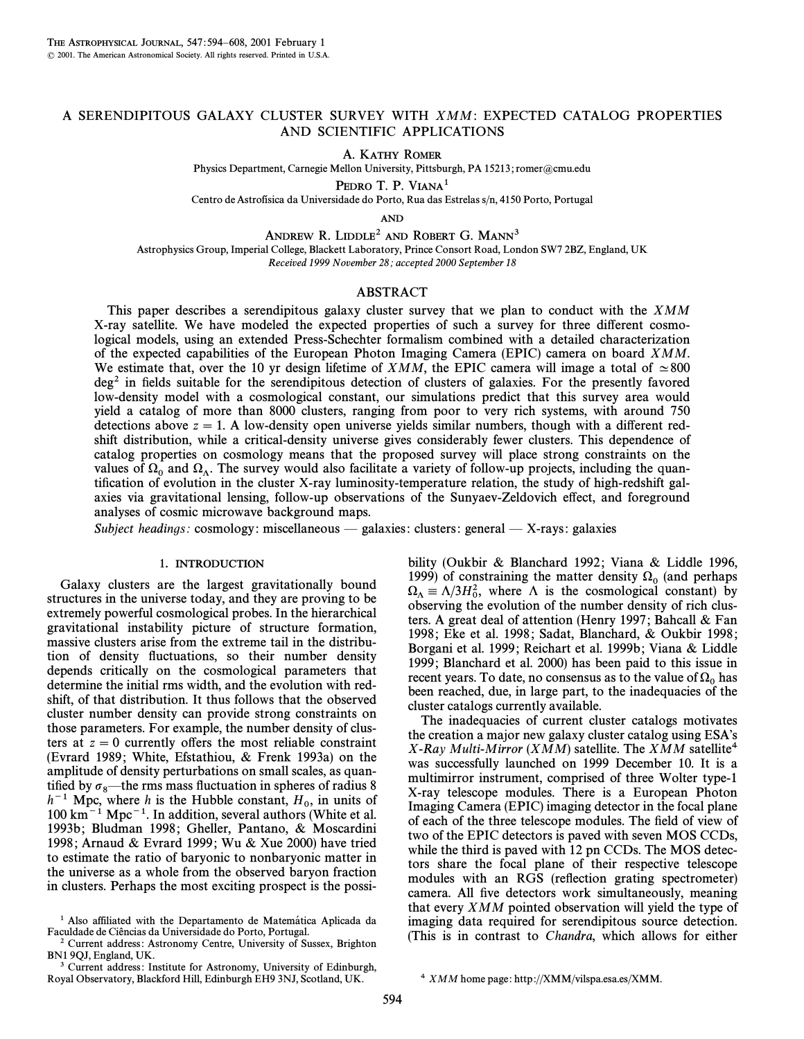## A SERENDIPITOUS GALAXY CLUSTER SURVEY WITH XMM: EXPECTED CATALOG PROPERTIES AND SCIENTIFIC APPLICATIONS

A. KATHY ROMER

Physics Department, Carnegie Mellon University, Pittsburgh, PA 15213; romer@cmu.edu

PEDRO T. P. VIANA<sup>1</sup>

Centro de Astrofísica da Universidade do Porto, Rua das Estrelas s/n, 4150 Porto, Portugal

AND

ANDREW R. LIDDLE<sup>2</sup> AND ROBERT G. MANN<sup>3</sup>

Astrophysics Group, Imperial College, Blackett Laboratory, Prince Consort Road, London SW7 2BZ, England, UK Received 1999 November 28; accepted 2000 September 18

## ABSTRACT

This paper describes a serendipitous galaxy cluster survey that we plan to conduct with the XMM X-ray satellite. We have modeled the expected properties of such a survey for three di†erent cosmological models, using an extended Press-Schechter formalism combined with a detailed characterization of the expected capabilities of the European Photon Imaging Camera (EPIC) camera on board XMM. We estimate that, over the 10 yr design lifetime of *XMM*, the EPIC camera will image a total of  $\simeq 800$  $\deg^2$  in fields suitable for the serendipitous detection of clusters of galaxies. For the presently favored low-density model with a cosmological constant, our simulations predict that this survey area would yield a catalog of more than 8000 clusters, ranging from poor to very rich systems, with around 750 detections above  $z = 1$ . A low-density open universe yields similar numbers, though with a different redshift distribution, while a critical-density universe gives considerably fewer clusters. This dependence of catalog properties on cosmology means that the proposed survey will place strong constraints on the values of  $\Omega_0$  and  $\Omega_\Lambda$ . The survey would also facilitate a variety of follow-up projects, including the quan-<br>tification of evolution in the cluster X ray luminosity temperature relation, the study of high redshift c tification of evolution in the cluster X-ray luminosity-temperature relation, the study of high-redshift galaxies via gravitational lensing, follow-up observations of the Sunyaev-Zeldovich e†ect, and foreground analyses of cosmic microwave background maps.

Subject headings: cosmology: miscellaneous — galaxies: clusters: general — X-rays: galaxies

#### 1. INTRODUCTION

Galaxy clusters are the largest gravitationally bound structures in the universe today, and they are proving to be extremely powerful cosmological probes. In the hierarchical gravitational instability picture of structure formation, massive clusters arise from the extreme tail in the distribution of density fluctuations, so their number density depends critically on the cosmological parameters that determine the initial rms width, and the evolution with redshift, of that distribution. It thus follows that the observed cluster number density can provide strong constraints on those parameters. For example, the number density of clusters at  $z = 0$  currently offers the most reliable constraint (Evrard 1989; White, Efstathiou,  $\&$  Frenk 1993a) on the amplitude of density perturbations on small scales, as quantified by  $\sigma_8$ —the rms mass fluctuation in spheres of radius 8  $h^{-1}$  Mpc, where h is the Hubble constant,  $H_0$ , in units of  $100 \text{ km}^{-1}$  Mpc, where h is the Hubble constant,  $H_0$ , in units of  $100 \text{ km}^{-1}$ .  $100 \text{ km}^{-1} \text{ Mpc}^{-1}$ . In addition, several authors (White et al. 1993b; Bludman 1998; Gheller, Pantano, & Moscardini 1998; Arnaud & Evrard 1999; Wu & Xue 2000) have tried to estimate the ratio of baryonic to nonbaryonic matter in the universe as a whole from the observed baryon fraction in clusters. Perhaps the most exciting prospect is the possibility (Oukbir & Blanchard 1992; Viana & Liddle 1996, 1999) of constraining the matter density  $\Omega_0$  (and perhaps  $\Omega_{\Lambda} \equiv \Lambda/3H_0^2$ , where  $\Lambda$  is the cosmological constant) by observing the evolution of the number density of rich clus observing the evolution of the number density of rich clusters. A great deal of attention (Henry 1997; Bahcall & Fan 1998; Eke et al. 1998; Sadat, Blanchard, & Oukbir 1998; Borgani et al. 1999; Reichart et al. 1999b; Viana & Liddle 1999 ; Blanchard et al. 2000) has been paid to this issue in recent years. To date, no consensus as to the value of  $\Omega_0$  has been reached, due, in large part, to the inadequacies of the cluster catalogs currently available.

The inadequacies of current cluster catalogs motivates the creation a major new galaxy cluster catalog using ESA's X-Ray Multi-Mirror (XMM) satellite. The XMM satellite<sup>4</sup> was successfully launched on 1999 December 10. It is a multimirror instrument, comprised of three Wolter type-1 X-ray telescope modules. There is a European Photon Imaging Camera (EPIC) imaging detector in the focal plane of each of the three telescope modules. The field of view of two of the EPIC detectors is paved with seven MOS CCDs, while the third is paved with 12 pn CCDs. The MOS detectors share the focal plane of their respective telescope modules with an RGS (reflection grating spectrometer) camera. All five detectors work simultaneously, meaning that every XMM pointed observation will yield the type of imaging data required for serendipitous source detection. (This is in contrast to Chandra, which allows for either

<sup>&</sup>lt;sup>1</sup> Also affiliated with the Departamento de Matemática Aplicada da Faculdade de Ciências da Universidade do Porto, Portugal.

<sup>&</sup>lt;sup>2</sup> Current address: Astronomy Centre, University of Sussex, Brighton BN1 9QJ, England, UK.

<sup>&</sup>lt;sup>3</sup> Current address: Institute for Astronomy, University of Edinburgh, Royal Observatory, Blackford Hill, Edinburgh EH9 3NJ, Scotland, UK.

<sup>594</sup>

<sup>&</sup>lt;sup>4</sup> XMM home page: http://XMM/vilspa.esa.es/XMM.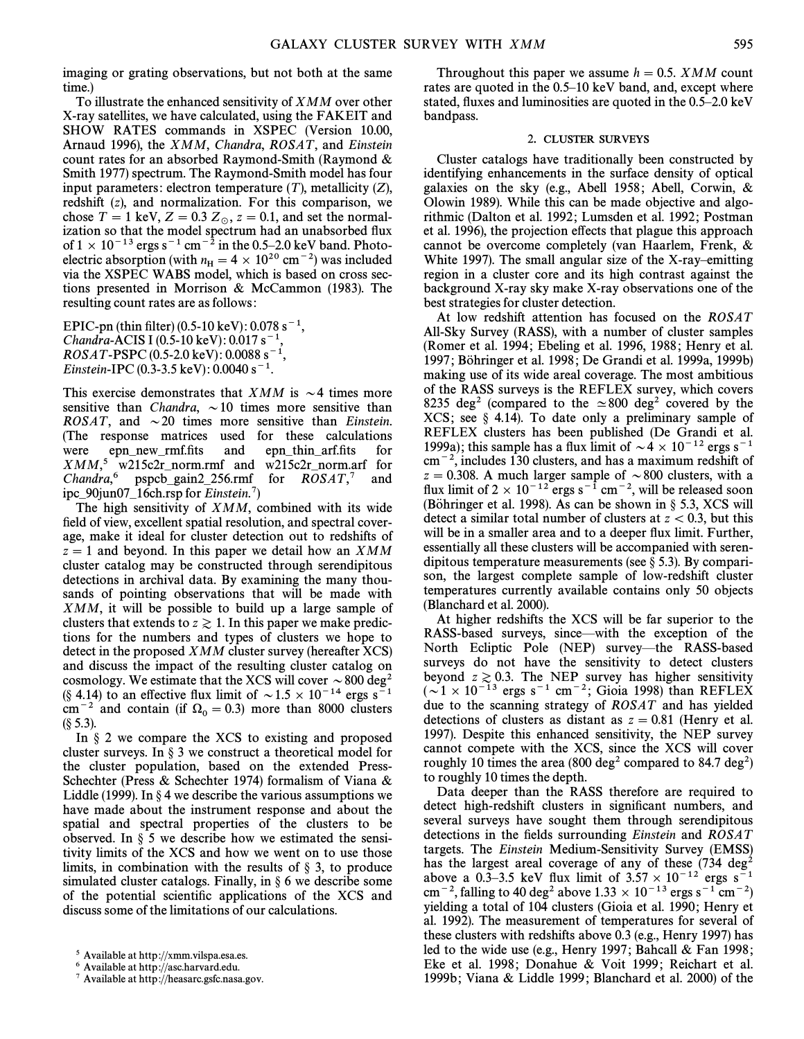imaging or grating observations, but not both at the same time.)

To illustrate the enhanced sensitivity of XMM over other X-ray satellites, we have calculated, using the FAKEIT and SHOW RATES commands in XSPEC (Version 10.00, Arnaud 1996), the XMM, Chandra, ROSAT, and Einstein count rates for an absorbed Raymond-Smith (Raymond & Smith 1977) spectrum. The Raymond-Smith model has four input parameters: electron temperature  $(T)$ , metallicity  $(Z)$ , redshift (z), and normalization. For this comparison, we chose  $T = 1$  keV,  $Z = 0.3$   $Z_{\odot}$ ,  $z = 0.1$ , and set the normalization so that the model spectrum had an unabsorbed flux of  $1 \times 10^{-13}$  ergs s<sup>-1</sup> cm<sup>-2</sup> in the 0.5–2.0 keV band. Photoelectric absorption (with  $n_{\rm H} = 4 \times 10^{20}$  cm<sup>-2</sup>) was included via the XSPEC WABS model, which is based on cross sections presented in Morrison & McCammon (1983). The resulting count rates are as follows :

EPIC-pn (thin filter) (0.5-10 keV):  $0.078$  s<sup>-1</sup>, Chandra-ACIS I (0.5-10 keV):  $0.017 s^ ROSAT-PSPC (0.5-2.0 \text{ keV}) : 0.0088 \text{ s}^{-1}$ Einstein-IPC (0.3-3.5 keV):  $0.0040 s^{-1}$ .

This exercise demonstrates that XMM is  $\sim$  4 times more sensitive than Chandra,  $\sim 10$  times more sensitive than ROSAT, and  $\sim$  20 times more sensitive than Einstein. (The response matrices used for these calculations were epn\_new\_rmf.fits and epn\_thin\_arf.fits for  $XMM$ ,<sup>5</sup> w215c2r\_norm.rmf and w215c2r\_norm.arf for Chandra,<sup>6</sup> pspcb\_gain2\_256.rmf for  $ROSAT$ ,<sup>7</sup> and ipc–90jun07–16ch.rsp for Einstein.<sup>7</sup>)

The high sensitivity of XMM, combined with its wide field of view, excellent spatial resolution, and spectral coverage, make it ideal for cluster detection out to redshifts of  $z = 1$  and beyond. In this paper we detail how an XMM cluster catalog may be constructed through serendipitous detections in archival data. By examining the many thousands of pointing observations that will be made with XMM, it will be possible to build up a large sample of clusters that extends to  $z \ge 1$ . In this paper we make predictions for the numbers and types of clusters we hope to detect in the proposed XMM cluster survey (hereafter XCS) and discuss the impact of the resulting cluster catalog on cosmology. We estimate that the XCS will cover  $\sim 800$  deg<sup>2</sup> (§ 4.14) to an effective flux limit of  $\sim 1.5 \times 10^{-14}$  ergs s<sup>-1</sup> cm<sup>-2</sup> and contain (if  $\Omega_0 = 0.3$ ) more than 8000 clusters  $(S\,5.3)$ .

In  $\S$  2 we compare the XCS to existing and proposed cluster surveys. In  $\S$  3 we construct a theoretical model for the cluster population, based on the extended Press-Schechter (Press & Schechter 1974) formalism of Viana & Liddle (1999). In  $\S 4$  we describe the various assumptions we have made about the instrument response and about the spatial and spectral properties of the clusters to be observed. In  $\S$  5 we describe how we estimated the sensitivity limits of the XCS and how we went on to use those limits, in combination with the results of  $\S$  3, to produce simulated cluster catalogs. Finally, in  $\S 6$  we describe some of the potential scientific applications of the XCS and discuss some of the limitations of our calculations.

Throughout this paper we assume  $h = 0.5$ . XMM count rates are quoted in the  $0.5-10$  keV band, and, except where stated, fluxes and luminosities are quoted in the  $0.5-2.0 \text{ keV}$ bandpass.

## 2. CLUSTER SURVEYS

Cluster catalogs have traditionally been constructed by identifying enhancements in the surface density of optical galaxies on the sky (e.g., Abell 1958; Abell, Corwin, & Olowin 1989). While this can be made objective and algorithmic (Dalton et al. 1992; Lumsden et al. 1992; Postman et al. 1996), the projection e†ects that plague this approach cannot be overcome completely (van Haarlem, Frenk, & White 1997). The small angular size of the X-ray-emitting region in a cluster core and its high contrast against the background X-ray sky make X-ray observations one of the best strategies for cluster detection.

At low redshift attention has focused on the ROSAT All-Sky Survey (RASS), with a number of cluster samples (Romer et al. 1994; Ebeling et al. 1996, 1988; Henry et al. 1997; Böhringer et al. 1998; De Grandi et al. 1999a, 1999b) making use of its wide areal coverage. The most ambitious of the RASS surveys is the REFLEX survey, which covers 8235 deg<sup>2</sup> (compared to the  $\simeq$  800 deg<sup>2</sup> covered by the XCS; see  $\S$  4.14). To date only a preliminary sample of REFLEX clusters has been published (De Grandi et al. 1999a); this sample has a flux limit of  $\sim 4 \times 10^{-12}$  ergs s<sup>-1</sup>  $cm^{-2}$ , includes 130 clusters, and has a maximum redshift of  $z = 0.308$ . A much larger sample of  $\sim 800$  clusters, with a flux limit of  $2 \times 10^{-12}$  ergs s<sup>-1</sup> cm<sup>-2</sup>, will be released soon (Böhringer et al. 1998). As can be shown in  $\S$  5.3, XCS will detect a similar total number of clusters at  $z < 0.3$ , but this will be in a smaller area and to a deeper flux limit. Further, essentially all these clusters will be accompanied with serendipitous temperature measurements (see  $\S$  5.3). By comparison, the largest complete sample of low-redshift cluster temperatures currently available contains only 50 objects (Blanchard et al. 2000).

At higher redshifts the XCS will be far superior to the RASS-based surveys, since—with the exception of the North Ecliptic Pole (NEP) survey—the RASS-based surveys do not have the sensitivity to detect clusters beyond  $z \ge 0.3$ . The NEP survey has higher sensitivity  $(\sim 1 \times 10^{-13}$  ergs s<sup>-1</sup> cm<sup>-2</sup>; Gioia 1998) than REFLEX due to the scanning strategy of ROSAT and has yielded detections of clusters as distant as  $z = 0.81$  (Henry et al.) 1997). Despite this enhanced sensitivity, the NEP survey cannot compete with the XCS, since the XCS will cover roughly 10 times the area (800 deg<sup>2</sup> compared to 84.7 deg<sup>2</sup>) to roughly 10 times the depth.

Data deeper than the RASS therefore are required to detect high-redshift clusters in significant numbers, and several surveys have sought them through serendipitous detections in the fields surrounding Einstein and  $ROSAT$ targets. The Einstein Medium-Sensitivity Survey (EMSS) has the largest areal coverage of any of these  $(734 \text{ deg}^2)$ above a 0.3–3.5 keV flux limit of  $3.57 \times 10^{-12}$  ergs s<sup>-1</sup> cm<sup>-2</sup>, falling to 40 deg<sup>2</sup> above  $1.33 \times 10^{-13}$  ergs s<sup>-1</sup> cm<sup>-2</sup>) yielding a total of 104 clusters (Gioia et al. 1990; Henry et al. 1992). The measurement of temperatures for several of these clusters with redshifts above 0.3 (e.g., Henry 1997) has led to the wide use (e.g., Henry 1997; Bahcall & Fan 1998; Eke et al. 1998; Donahue & Voit 1999; Reichart et al. 1999b; Viana & Liddle 1999; Blanchard et al. 2000) of the

<sup>5</sup> Available at http ://xmm.vilspa.esa.es.

<sup>6</sup> Available at http ://asc.harvard.edu.

<sup>7</sup> Available at http ://heasarc.gsfc.nasa.gov.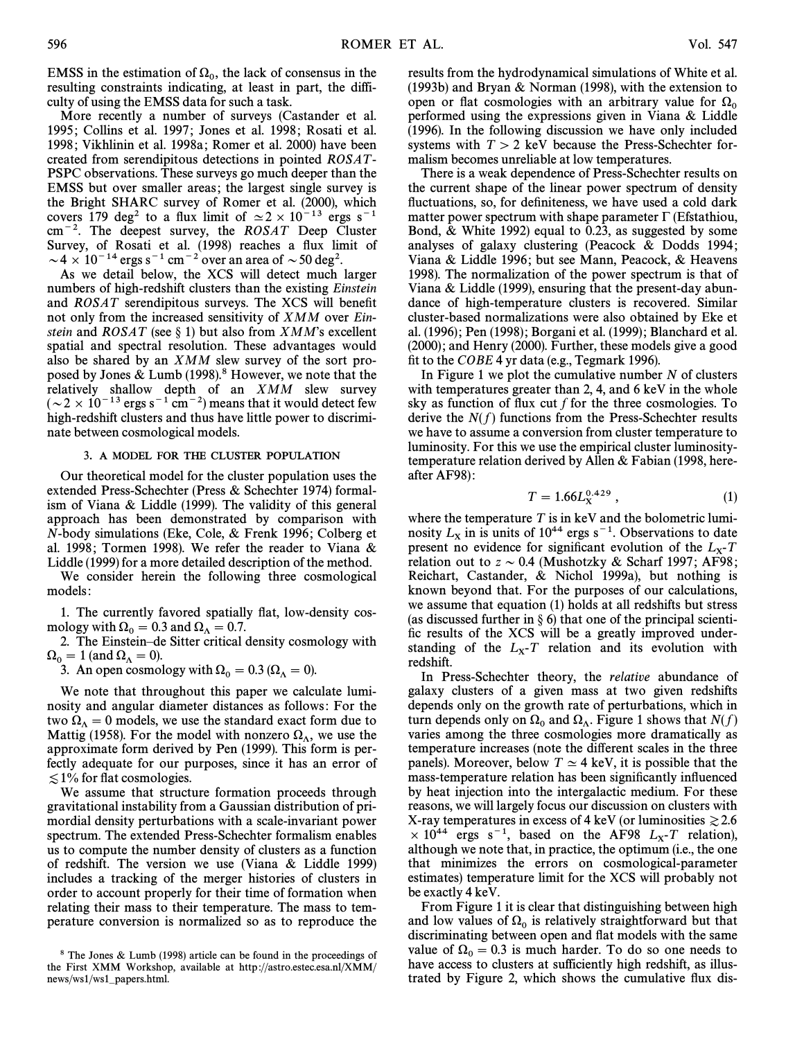EMSS in the estimation of  $\Omega_0$ , the lack of consensus in the equal resulting constraints indicating at least in part, the diffiresulting constraints indicating, at least in part, the difficulty of using the EMSS data for such a task.

More recently a number of surveys (Castander et al. 1995; Collins et al. 1997; Jones et al. 1998; Rosati et al. 1998; Vikhlinin et al. 1998a; Romer et al. 2000) have been created from serendipitous detections in pointed ROSAT - PSPC observations. These surveys go much deeper than the EMSS but over smaller areas; the largest single survey is the Bright SHARC survey of Romer et al. (2000), which covers 179 deg<sup>2</sup> to a flux limit of  $\simeq 2 \times 10^{-13}$  ergs s<sup>-1</sup>  $cm^{-2}$ . The deepest survey, the ROSAT Deep Cluster Survey, of Rosati et al. (1998) reaches a Ñux limit of  $\sim$  4  $\times$  10<sup>-14</sup> ergs s<sup>-1</sup> cm<sup>-2</sup> over an area of  $\sim$  50 deg<sup>2</sup>.

As we detail below, the XCS will detect much larger numbers of high-redshift clusters than the existing Einstein and  $ROSAT$  serendipitous surveys. The XCS will benefit not only from the increased sensitivity of XMM over Einstein and  $ROSAT$  (see § 1) but also from  $XMM$ 's excellent spatial and spectral resolution. These advantages would also be shared by an XMM slew survey of the sort proposed by Jones & Lumb (1998).<sup>8</sup> However, we note that the relatively shallow depth of an XMM slew survey  $({\sim} 2 \times 10^{-13}$  ergs s<sup>-1</sup> cm<sup>-2</sup>) means that it would detect few high-redshift clusters and thus have little power to discriminate between cosmological models.

## 3. A MODEL FOR THE CLUSTER POPULATION

Our theoretical model for the cluster population uses the extended Press-Schechter (Press & Schechter 1974) formalism of Viana & Liddle (1999). The validity of this general approach has been demonstrated by comparison with N-body simulations (Eke, Cole, & Frenk 1996 ; Colberg et al. 1998; Tormen 1998). We refer the reader to Viana  $\&$ Liddle (1999) for a more detailed description of the method.

We consider herein the following three cosmological models :

1. The currently favored spatially flat, low-density cosmology with  $\Omega_0 = 0.3$  and  $\Omega_\Lambda = 0.7$ .

2. The Einstein-de Sitter critical density cosmology with  $\Omega_0 = 1$  (and  $\Omega_\Lambda = 0$ ).

3. An open cosmology with  $\Omega_0 = 0.3$  ( $\Omega_\Lambda = 0$ ).

We note that throughout this paper we calculate luminosity and angular diameter distances as follows : For the two  $\Omega_{\Lambda} = 0$  models, we use the standard exact form due to Mattig (1958). For the model with nonzero  $\Omega_{\Lambda}$ , we use the entroximate form derived by Pen (1999). This form is per approximate form derived by Pen (1999). This form is perfectly adequate for our purposes, since it has an error of  $\lesssim$  1% for flat cosmologies.

We assume that structure formation proceeds through gravitational instability from a Gaussian distribution of primordial density perturbations with a scale-invariant power spectrum. The extended Press-Schechter formalism enables us to compute the number density of clusters as a function of redshift. The version we use (Viana & Liddle 1999) includes a tracking of the merger histories of clusters in order to account properly for their time of formation when relating their mass to their temperature. The mass to temperature conversion is normalized so as to reproduce the results from the hydrodynamical simulations of White et al. (1993b) and Bryan & Norman (1998), with the extension to open or flat cosmologies with an arbitrary value for  $\Omega_0$  performed using the expressions given in Viana & Liddle (1996). In the following discussion we have only included systems with  $T > 2$  keV because the Press-Schechter formalism becomes unreliable at low temperatures.

There is a weak dependence of Press-Schechter results on the current shape of the linear power spectrum of density fluctuations, so, for definiteness, we have used a cold dark matter power spectrum with shape parameter  $\Gamma$  (Efstathiou, Bond, & White 1992) equal to 0.23, as suggested by some analyses of galaxy clustering (Peacock & Dodds 1994; Viana & Liddle 1996; but see Mann, Peacock, & Heavens 1998). The normalization of the power spectrum is that of Viana & Liddle (1999), ensuring that the present-day abundance of high-temperature clusters is recovered. Similar cluster-based normalizations were also obtained by Eke et al. (1996) ; Pen (1998) ; Borgani et al. (1999) ; Blanchard et al. (2000); and Henry (2000). Further, these models give a good fit to the  $COBE$  4 yr data (e.g., Tegmark 1996).

In Figure 1 we plot the cumulative number  $N$  of clusters with temperatures greater than 2, 4, and 6 keV in the whole sky as function of flux cut  $f$  for the three cosmologies. To derive the  $N(f)$  functions from the Press-Schechter results we have to assume a conversion from cluster temperature to luminosity. For this we use the empirical cluster luminositytemperature relation derived by Allen & Fabian (1998, hereafter AF98) :

$$
T = 1.66L_{\rm X}^{0.429} \,, \tag{1}
$$

where the temperature  $T$  is in keV and the bolometric luminosity  $L_x$  in is units of 10<sup>44</sup> ergs s<sup>-1</sup>. Observations to date present no evidence for significant evolution of the  $L_x$ -T<br>relation out to  $z \approx 0.4$  (Mushotzky & Scharf 1997; A E98; present no evidence for significant evolution of the  $L<sub>x</sub>$ -T relation out to  $z \sim 0.4$  (Mushotzky & Scharf 1997; AF98; Reichart, Castander, & Nichol 1999a), but nothing is known beyond that. For the purposes of our calculations, we assume that equation (1) holds at all redshifts but stress (as discussed further in  $\S$  6) that one of the principal scientific results of the XCS will be a greatly improved understanding of the  $L_x$ -T relation and its evolution with redshift redshift.

In Press-Schechter theory, the relative abundance of galaxy clusters of a given mass at two given redshifts depends only on the growth rate of perturbations, which in turn depends only on  $\Omega_0$  and  $\Omega_\Lambda$ . Figure 1 shows that  $N(f)$ <br>varies among the three cosmologies more dramatically as varies among the three cosmologies more dramatically as temperature increases (note the different scales in the three panels). Moreover, below  $T \simeq 4$  keV, it is possible that the mass-temperature relation has been significantly influenced by heat injection into the intergalactic medium. For these reasons, we will largely focus our discussion on clusters with X-ray temperatures in excess of 4 keV (or luminosities  $\ge 2.6$  $\times$  10<sup>44</sup> ergs s<sup>-1</sup>, based on the AF98  $L_x$ -T relation), although we note that in practice the optimum (i.e., the one although we note that, in practice, the optimum (i.e., the one that minimizes the errors on cosmological-parameter estimates) temperature limit for the XCS will probably not be exactly 4 keV.

From Figure 1 it is clear that distinguishing between high and low values of  $\Omega_0$  is relatively straightforward but that discriminating between open and flat models with the same value of  $\Omega_0 = 0.3$  is much harder. To do so one needs to have access to clusters at sufficiently high redshift, as illustrated by Figure 2, which shows the cumulative flux dis-

<sup>8</sup> The Jones & Lumb (1998) article can be found in the proceedings of the First XMM Workshop, available at http ://astro.estec.esa.nl/XMM/ news/ws1/ws1–papers.html.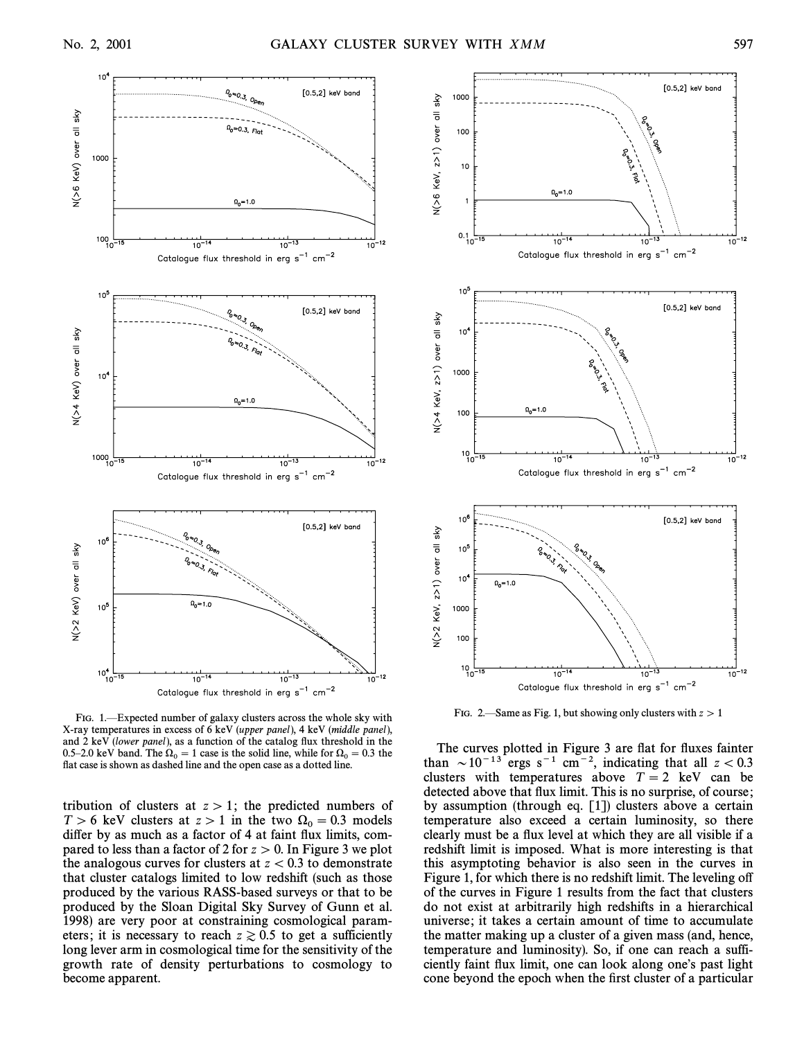

FIG. 1.—Expected number of galaxy clusters across the whole sky with X-ray temperatures in excess of 6 keV (upper panel), 4 keV (middle panel), and  $2 \text{ keV}$  (lower panel), as a function of the catalog flux threshold in the 0.5–2.0 keV band. The  $\Omega_0 = 1$  case is the solid line, while for  $\Omega_0 = 0.3$  the flat case is above as a dotted line. flat case is shown as dashed line and the open case as a dotted line.

tribution of clusters at  $z > 1$ ; the predicted numbers of  $T > 6$  keV clusters at  $z > 1$  in the two  $\Omega_0 = 0.3$  models differ by as much as a factor of 4 at faint flux limits, compared to less than a factor of 2 for  $z > 0$ . In Figure 3 we plot the analogous curves for clusters at  $z < 0.3$  to demonstrate that cluster catalogs limited to low redshift (such as those produced by the various RASS-based surveys or that to be produced by the Sloan Digital Sky Survey of Gunn et al. 1998) are very poor at constraining cosmological parameters; it is necessary to reach  $z \ge 0.5$  to get a sufficiently long lever arm in cosmological time for the sensitivity of the growth rate of density perturbations to cosmology to become apparent.



FIG. 2.—Same as Fig. 1, but showing only clusters with  $z > 1$ 

The curves plotted in Figure 3 are flat for fluxes fainter than  $\sim 10^{-13}$  ergs s<sup>-1</sup> cm<sup>-2</sup>, indicating that all  $z < 0.3$ clusters with temperatures above  $T = 2$  keV can be detected above that flux limit. This is no surprise, of course; by assumption (through eq. [1]) clusters above a certain temperature also exceed a certain luminosity, so there clearly must be a flux level at which they are all visible if a redshift limit is imposed. What is more interesting is that this asymptoting behavior is also seen in the curves in Figure 1, for which there is no redshift limit. The leveling off of the curves in Figure 1 results from the fact that clusters do not exist at arbitrarily high redshifts in a hierarchical universe; it takes a certain amount of time to accumulate the matter making up a cluster of a given mass (and, hence, temperature and luminosity). So, if one can reach a sufficiently faint flux limit, one can look along one's past light cone beyond the epoch when the first cluster of a particular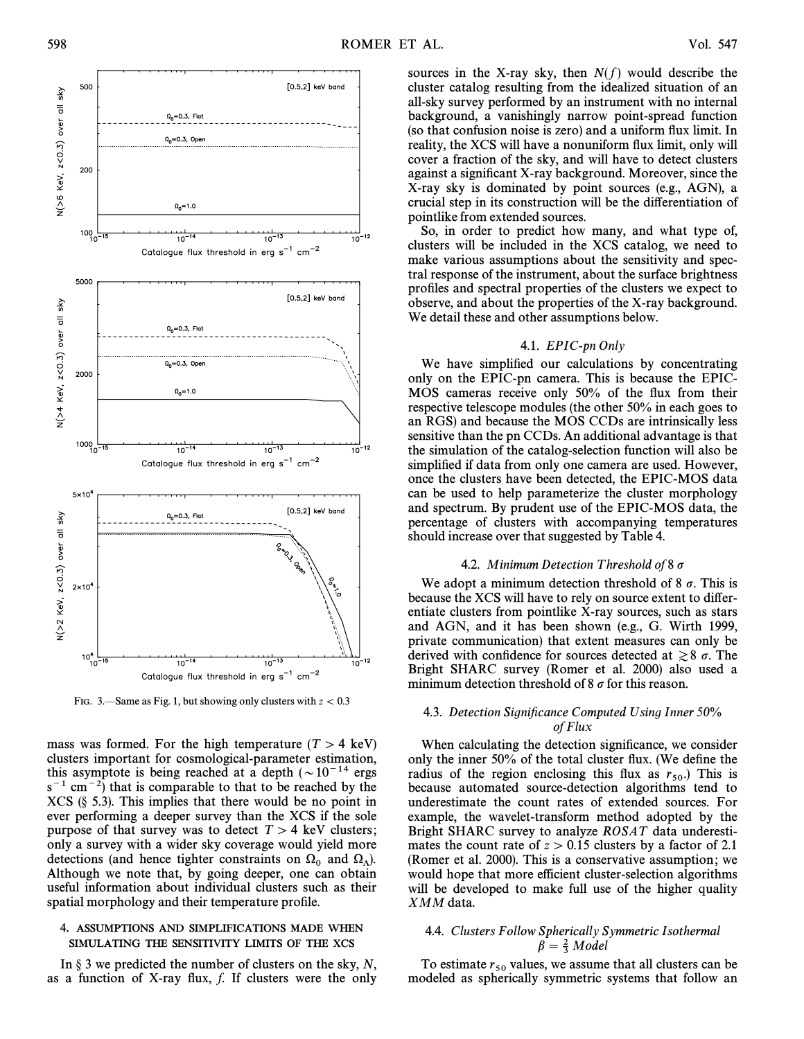

FIG. 3.—Same as Fig. 1, but showing only clusters with  $z < 0.3$ 

mass was formed. For the high temperature ( $T > 4$  keV) clusters important for cosmological-parameter estimation, this asymptote is being reached at a depth  $(\sim 10^{-14}$  ergs  $s^{-1}$  cm<sup>-2</sup>) that is comparable to that to be reached by the  $XCS$  (§ 5.3). This implies that there would be no point in ever performing a deeper survey than the XCS if the sole purpose of that survey was to detect  $T > 4$  keV clusters; only a survey with a wider sky coverage would yield more detections (and hence tighter constraints on  $\Omega_0$  and  $\Omega_\Lambda$ ).<br>Although we note that by going deeper one can obtain Although we note that, by going deeper, one can obtain useful information about individual clusters such as their spatial morphology and their temperature profile.

## 4. ASSUMPTIONS AND SIMPLIFICATIONS MADE WHEN SIMULATING THE SENSITIVITY LIMITS OF THE XCS

In  $\S$  3 we predicted the number of clusters on the sky, N, as a function of X-ray flux,  $f$ . If clusters were the only sources in the X-ray sky, then  $N(f)$  would describe the cluster catalog resulting from the idealized situation of an all-sky survey performed by an instrument with no internal background, a vanishingly narrow point-spread function (so that confusion noise is zero) and a uniform Ñux limit. In reality, the XCS will have a nonuniform flux limit, only will cover a fraction of the sky, and will have to detect clusters against a significant X-ray background. Moreover, since the X-ray sky is dominated by point sources (e.g., AGN), a crucial step in its construction will be the di†erentiation of pointlike from extended sources.

So, in order to predict how many, and what type of, clusters will be included in the XCS catalog, we need to make various assumptions about the sensitivity and spectral response of the instrument, about the surface brightness profiles and spectral properties of the clusters we expect to observe, and about the properties of the X-ray background. We detail these and other assumptions below.

## 4.1. EPIC-pn Only

We have simplified our calculations by concentrating only on the EPIC-pn camera. This is because the EPIC-MOS cameras receive only 50% of the flux from their respective telescope modules (the other 50% in each goes to an RGS) and because the MOS CCDs are intrinsically less sensitive than the pn CCDs. An additional advantage is that the simulation of the catalog-selection function will also be simplified if data from only one camera are used. However, once the clusters have been detected, the EPIC-MOS data can be used to help parameterize the cluster morphology and spectrum. By prudent use of the EPIC-MOS data, the percentage of clusters with accompanying temperatures should increase over that suggested by Table 4.

## 4.2. Minimum Detection Threshold of  $8\sigma$

We adopt a minimum detection threshold of 8  $\sigma$ . This is because the XCS will have to rely on source extent to differentiate clusters from pointlike X-ray sources, such as stars and AGN, and it has been shown (e.g., G. Wirth 1999, private communication) that extent measures can only be derived with confidence for sources detected at  $\geq 8$   $\sigma$ . The Bright SHARC survey (Romer et al. 2000) also used a minimum detection threshold of 8  $\sigma$  for this reason.

## 4.3. Detection Significance Computed Using Inner  $50\%$ of Flux

When calculating the detection significance, we consider only the inner  $50\%$  of the total cluster flux. (We define the radius of the region enclosing this flux as  $r_{50}$ . This is because automated source detection algorithms tend to because automated source-detection algorithms tend to underestimate the count rates of extended sources. For example, the wavelet-transform method adopted by the Bright SHARC survey to analyze ROSAT data underestimates the count rate of  $z > 0.15$  clusters by a factor of 2.1 (Romer et al. 2000). This is a conservative assumption ; we would hope that more efficient cluster-selection algorithms will be developed to make full use of the higher quality XMM data.

# 4.4. Clusters Follow Spherically Symmetric Isothermal<br> $\beta = \frac{2}{3}$  Model

To estimate  $r_{50}$  values, we assume that all clusters can be modeled as spherically symmetric systems that follow an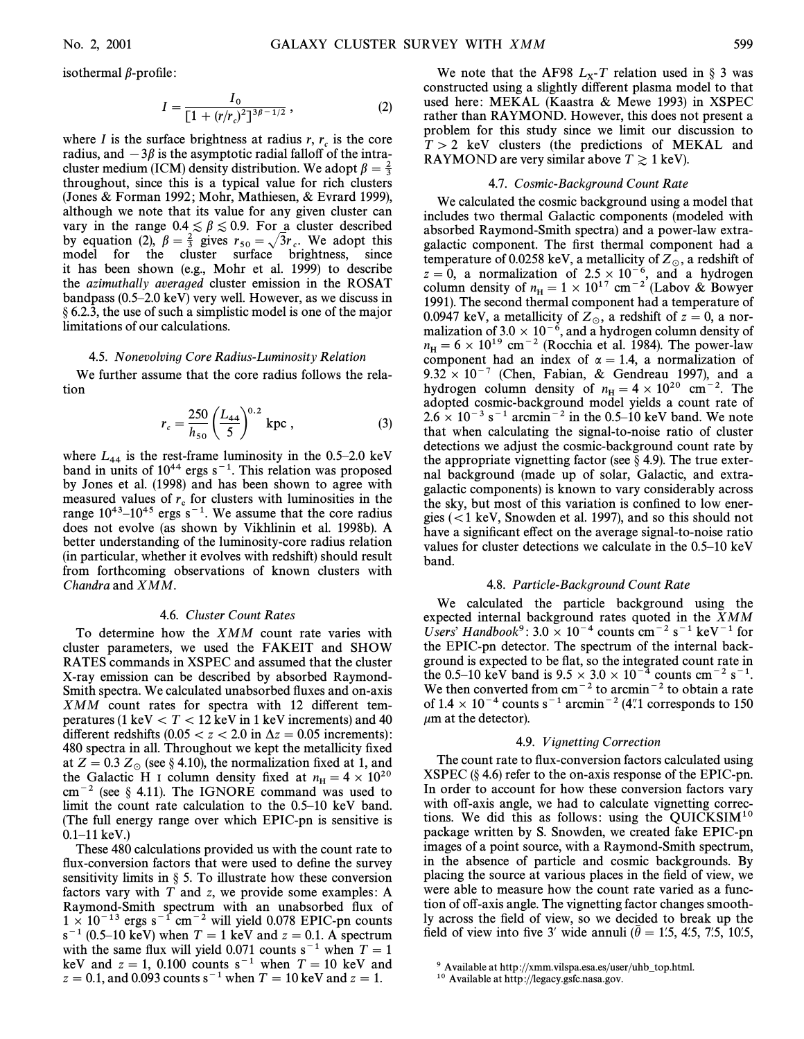isothermal  $\beta$ -profile:

$$
I = \frac{I_0}{[1 + (r/r_c)^2]^{3\beta - 1/2}},
$$
\n(2)

where I is the surface brightness at radius  $r, r_c$  is the core radius, and  $-3\beta$  is the asymptotic radial falloff of the intracluster medium (ICM) density distribution. We adopt  $\beta = \frac{2}{3}$ <sup>3</sup> throughout, since this is a typical value for rich clusters (Jones & Forman 1992; Mohr, Mathiesen, & Evrard 1999), although we note that its value for any given cluster can vary in the range  $0.4 \le \beta \le 0.9$ . For a cluster described by equation (2),  $\beta = \frac{2}{3}$  gives  $r_{50} = \sqrt{3}r_c$ . We adopt this model for the cluster surface brightness since model for the cluster surface brightness, since it has been shown (e.g., Mohr et al. 1999) to describe the azimuthally averaged cluster emission in the ROSAT bandpass  $(0.5–2.0 \text{ keV})$  very well. However, as we discuss in  $\S 6.2.3$ , the use of such a simplistic model is one of the major limitations of our calculations.

#### 4.5. Nonevolving Core Radius-Luminosity Relation

We further assume that the core radius follows the relation

$$
r_c = \frac{250}{h_{50}} \left(\frac{L_{44}}{5}\right)^{0.2} \text{ kpc} ,
$$
 (3)

where  $L_{44}$  is the rest-frame luminosity in the 0.5–2.0 keV band in units of  $10^{44}$  ergs s<sup>-1</sup>. This relation was proposed by Jones et al. (1998) and has been shown to agree with measured values of  $r_c$  for clusters with luminosities in the range  $10^{43}$ – $10^{45}$  ergs s<sup>-1</sup>. We assume that the core radius does not evolve (as shown by Vikhlinin et al. 1998b). A better understanding of the luminosity-core radius relation (in particular, whether it evolves with redshift) should result from forthcoming observations of known clusters with Chandra and XMM.

#### 4.6. Cluster Count Rates

To determine how the XMM count rate varies with cluster parameters, we used the FAKEIT and SHOW RATES commands in XSPEC and assumed that the cluster X-ray emission can be described by absorbed Raymond-Smith spectra. We calculated unabsorbed fluxes and on-axis  $XMM$  count rates for spectra with 12 different temperatures (1 keV  $\lt T \lt 12$  keV in 1 keV increments) and 40 different redshifts (0.05  $\lt$  z $\lt$  2.0 in  $\Delta z$  = 0.05 increments): 480 spectra in all. Throughout we kept the metallicity fixed at  $Z = 0.3 Z_{\odot}$  (see § 4.10), the normalization fixed at 1, and the Galactic H I column density fixed at  $n_{\rm H} = 4 \times 10^{20}$ <br>cm<sup>-2</sup> (see 8.4.11). The IGNORE command was used to  $cm^{-2}$  (see § 4.11). The IGNORE command was used to limit the count rate calculation to the  $0.5-10$  keV band. (The full energy range over which EPIC-pn is sensitive is  $0.1 - 11 \text{ keV.}$ 

These 480 calculations provided us with the count rate to flux-conversion factors that were used to define the survey sensitivity limits in  $\S$  5. To illustrate how these conversion factors vary with  $T$  and  $z$ , we provide some examples: A Raymond-Smith spectrum with an unabsorbed Ñux of  $1 \times 10^{-13}$  ergs s<sup>-1</sup> cm<sup>-2</sup> will yield 0.078 EPIC-pn counts  $s^{-1}$  (0.5–10 keV) when  $T = 1$  keV and  $z = 0.1$ . A spectrum with the same flux will yield 0.071 counts  $s^{-1}$  when  $T = 1$ keV and  $z = 1$ , 0.100 counts s<sup>-1</sup> when  $T = 10$  keV and  $z = 0.1$ , and 0.093 counts s<sup>-1</sup> when  $T = 10$  keV and  $z = 1$ .

We note that the AF98  $L_x$ -T relation used in § 3 was<br>nstructed using a slightly different plasma model to that constructed using a slightly di†erent plasma model to that used here: MEKAL (Kaastra & Mewe 1993) in XSPEC rather than RAYMOND. However, this does not present a problem for this study since we limit our discussion to  $T > 2$  keV clusters (the predictions of MEKAL and RAYMOND are very similar above  $T \ge 1$  keV).

#### 4.7. Cosmic-Background Count Rate

We calculated the cosmic background using a model that includes two thermal Galactic components (modeled with absorbed Raymond-Smith spectra) and a power-law extragalactic component. The first thermal component had a temperature of 0.0258 keV, a metallicity of  $Z_{\odot}$ , a redshift of  $z = 0$ , a normalization of  $2.5 \times 10^{-6}$ , and a hydrogen column density of  $n_H = 1 \times 10^{17}$  cm<sup>-2</sup> (Labov & Bowyer 1991). The second thermal component had a temperature of 0.0947 keV, a metallicity of  $Z_{\odot}$ , a redshift of  $z = 0$ , a normalization of 3.0  $\times$  10<sup>-6</sup>, and a hydrogen column density of  $n_{\text{H}} = 6 \times 10^{19} \text{ cm}^{-2}$  (Rocchia et al. 1984). The power-law component had an index of  $\alpha = 14$  a normalization of component had an index of  $\alpha = 1.4$ , a normalization of  $9.32 \times 10^{-7}$  (Chen, Fabian, & Gendreau 1997), and a hydrogen column density of  $n_H = 4 \times 10^{20}$  cm<sup>-2</sup>. The edgented cosmic background model vields a count rate of adopted cosmic-background model yields a count rate of  $2.6 \times 10^{-3}$  s<sup>-1</sup> arcmin<sup>-2</sup> in the 0.5–10 keV band. We note that when calculating the signal-to-noise ratio of cluster detections we adjust the cosmic-background count rate by the appropriate vignetting factor (see  $\S$  4.9). The true external background (made up of solar, Galactic, and extragalactic components) is known to vary considerably across the sky, but most of this variation is confined to low energies  $\left($  < 1 keV, Snowden et al. 1997), and so this should not have a significant effect on the average signal-to-noise ratio values for cluster detections we calculate in the  $0.5-10 \text{ keV}$ band.

## 4.8. Particle-Background Count Rate

We calculated the particle background using the expected internal background rates quoted in the XMM Users' Handbook<sup>9</sup>:  $3.0 \times 10^{-4}$  counts cm<sup>-2</sup> s<sup>-1</sup> keV<sup>-1</sup> for the EPIC-pn detector. The spectrum of the internal background is expected to be flat, so the integrated count rate in the 0.5–10 keV band is  $9.5 \times 3.0 \times 10^{-4}$  counts cm<sup>-2</sup> s<sup>-1</sup>. We then converted from  $cm^{-2}$  to arcmin<sup>-2</sup> to obtain a rate of  $1.4 \times 10^{-4}$  counts s<sup>-1</sup> arcmin<sup>-2</sup> (4.1 corresponds to 150)  $\mu$ m at the detector).

#### 4.9. V ignetting Correction

The count rate to flux-conversion factors calculated using XSPEC  $(\S 4.6)$  refer to the on-axis response of the EPIC-pn. In order to account for how these conversion factors vary with off-axis angle, we had to calculate vignetting corrections. We did this as follows: using the QUICKSI $M^{10}$ package written by S. Snowden, we created fake EPIC-pn images of a point source, with a Raymond-Smith spectrum, in the absence of particle and cosmic backgrounds. By placing the source at various places in the field of view, we were able to measure how the count rate varied as a function of off-axis angle. The vignetting factor changes smoothly across the field of view, so we decided to break up the field of view into five 3' wide annuli ( $\bar{\theta} = 1.5, 4.5, 7.5, 10.5$ ,

<sup>&</sup>lt;sup>9</sup> Available at http://xmm.vilspa.esa.es/user/uhb\_top.html.

<sup>10</sup> Available at http ://legacy.gsfc.nasa.gov.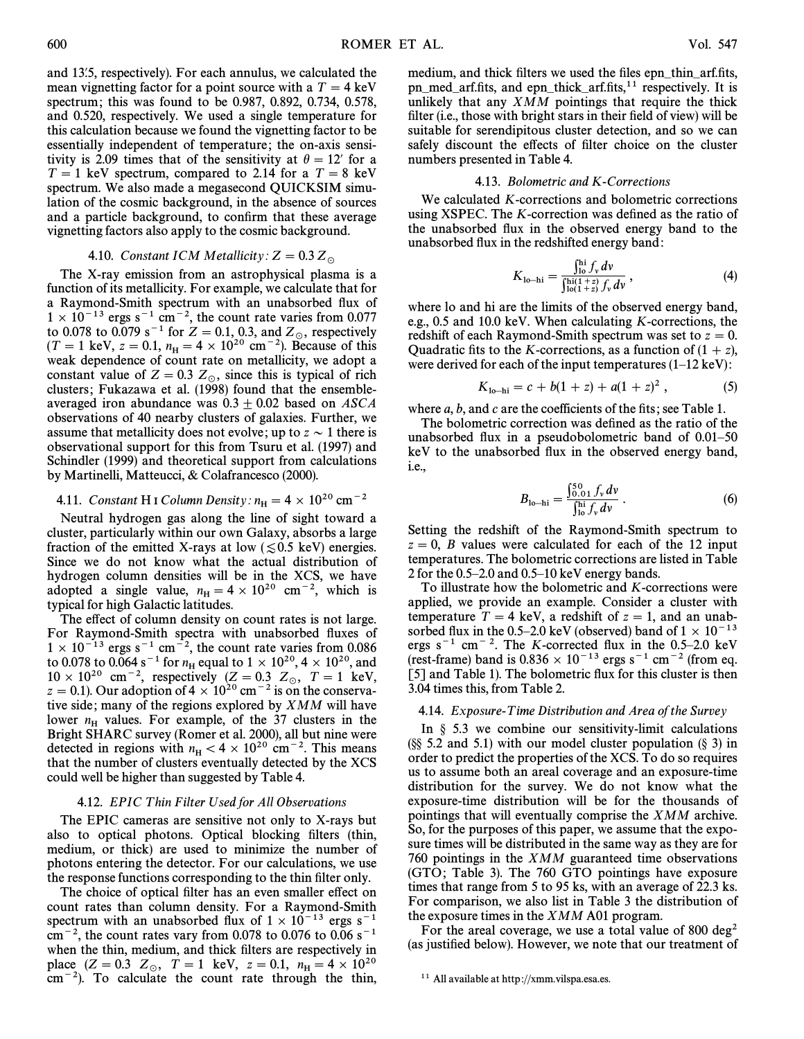and 13.5, respectively). For each annulus, we calculated the mean vignetting factor for a point source with a  $T = 4 \text{ keV}$ spectrum ; this was found to be 0.987, 0.892, 0.734, 0.578, and 0.520, respectively. We used a single temperature for this calculation because we found the vignetting factor to be essentially independent of temperature; the on-axis sensitivity is 2.09 times that of the sensitivity at  $\theta = 12'$  for a  $T = 1$  keV spectrum, compared to 2.14 for a  $T = 8$  keV spectrum. We also made a megasecond QUICKSIM simulation of the cosmic background, in the absence of sources and a particle background, to confirm that these average vignetting factors also apply to the cosmic background.

## 4.10. Constant ICM Metallicity:  $Z = 0.3 Z_\odot$

The X-ray emission from an astrophysical plasma is a function of its metallicity. For example, we calculate that for a Raymond-Smith spectrum with an unabsorbed Ñux of  $1 \times 10^{-13}$  ergs s<sup>-1</sup> cm<sup>-2</sup>, the count rate varies from 0.077 to 0.078 to 0.079 s<sup>-1</sup> for  $Z = 0.1$ , 0.3, and  $Z_{\odot}$ , respectively  $(T - 1 \text{ keV } z - 0.1, n = 4 \times 10^{20} \text{ cm}^{-2})$ . Because of this  $(T = 1 \text{ keV}, z = 0.1, n_H = 4 \times 10^{20} \text{ cm}^{-2})$ . Because of this weak dependence of count rate on metallicity, we adopt a weak dependence of count rate on metallicity, we adopt a constant value of  $Z = 0.3$   $Z_\odot$ , since this is typical of rich clusters; Fukazawa et al. (1998) found that the ensembleaveraged iron abundance was  $0.3 \pm 0.02$  based on ASCA observations of 40 nearby clusters of galaxies. Further, we assume that metallicity does not evolve; up to  $z \sim 1$  there is observational support for this from Tsuru et al. (1997) and Schindler (1999) and theoretical support from calculations by Martinelli, Matteucci, & Colafrancesco (2000).

## 4.11. Constant H I Column Density:  $n_{\rm H} = 4 \times 10^{20}$  cm<sup>-2</sup>

Neutral hydrogen gas along the line of sight toward a cluster, particularly within our own Galaxy, absorbs a large fraction of the emitted X-rays at low ( $\leq 0.5$  keV) energies. Since we do not know what the actual distribution of hydrogen column densities will be in the XCS, we have adopted a single value,  $n_H = 4 \times 10^{20}$  cm<sup>-2</sup>, which is typical for high Galactic latitudes.

The effect of column density on count rates is not large. For Raymond-Smith spectra with unabsorbed fluxes of  $1 \times 10^{-13}$  ergs s<sup>-1</sup> cm<sup>-2</sup>, the count rate varies from 0.086 to 0.078 to 0.064 s<sup>-1</sup> for  $n_H$  equal to  $1 \times 10^{20}$ ,  $4 \times 10^{20}$ , and  $10 \times 10^{20}$  cm<sup>-2</sup>, respectively (Z = 0.3 Z<sub>o</sub>, T = 1 keV,  $z = 0.1$ ). Our adoption of  $4 \times 10^{20}$  cm<sup>-2</sup> is on the conservative side; many of the regions explored by  $XMM$  will have lower  $n_H$  values. For example, of the 37 clusters in the Bright SHARC survey (Romer et al. 2000), all but nine were detected in regions with  $n_H < 4 \times 10^{20}$  cm<sup>-2</sup>. This means that the number of clusters eventually detected by the YCS that the number of clusters eventually detected by the XCS could well be higher than suggested by Table 4.

#### 4.12. EPIC T hin Filter Used for All Observations

The EPIC cameras are sensitive not only to X-rays but also to optical photons. Optical blocking filters (thin, medium, or thick) are used to minimize the number of photons entering the detector. For our calculations, we use the response functions corresponding to the thin filter only.

The choice of optical filter has an even smaller effect on count rates than column density. For a Raymond-Smith spectrum with an unabsorbed flux of  $1 \times 10^{-13}$  ergs s<sup>-1</sup>  $cm^{-2}$ , the count rates vary from 0.078 to 0.076 to 0.06 s<sup>-1</sup> when the thin, medium, and thick filters are respectively in place  $(Z = 0.3 \ Z_{\odot}, T = 1 \ \text{keV}, z = 0.1, n_{\text{H}} = 4 \times 10^{20}$ <br>cm<sup>-2</sup>). To calculate the count rate through the thin  $\text{cm}^{-2}$ ). To calculate the count rate through the thin,

medium, and thick filters we used the files epn\_thin\_arf.fits, pn\_med\_arf.fits, and epn\_thick\_arf.fits,<sup>11</sup> respectively. It is unlikely that any XMM pointings that require the thick filter (i.e., those with bright stars in their field of view) will be suitable for serendipitous cluster detection, and so we can safely discount the effects of filter choice on the cluster numbers presented in Table 4.

#### 4.13. Bolometric and K-Corrections

We calculated K-corrections and bolometric corrections using XSPEC. The  $K$ -correction was defined as the ratio of the unabsorbed Ñux in the observed energy band to the unabsorbed flux in the redshifted energy band:

$$
K_{1\text{o}-\text{hi}} = \frac{\int_{1\text{o}}^{\text{hi}} f_{\text{v}} \, dv}{\int_{1\text{o}(1+z)}^{\text{hi}(1+z)} f_{\text{v}} \, dv},\tag{4}
$$

where lo and hi are the limits of the observed energy band, e.g., 0.5 and 10.0 keV. When calculating K-corrections, the redshift of each Raymond-Smith spectrum was set to  $z=0$ . Quadratic fits to the K-corrections, as a function of  $(1 + z)$ , were derived for each of the input temperatures  $(1-12 \text{ keV})$ :

$$
K_{\text{lo-hi}} = c + b(1+z) + a(1+z)^2, \qquad (5)
$$

where  $a, b$ , and  $c$  are the coefficients of the fits; see Table 1.

The bolometric correction was defined as the ratio of the unabsorbed flux in a pseudobolometric band of  $0.01-50$ keV to the unabsorbed flux in the observed energy band, i.e.,

$$
B_{\text{lo-hi}} = \frac{\int_{0.01}^{50} f_v \, dv}{\int_{0.0}^{\text{hi}} f_v \, dv} \,. \tag{6}
$$

Setting the redshift of the Raymond-Smith spectrum to  $z = 0$ , B values were calculated for each of the 12 input temperatures. The bolometric corrections are listed in Table 2 for the  $0.5-2.0$  and  $0.5-10$  keV energy bands.

To illustrate how the bolometric and K-corrections were applied, we provide an example. Consider a cluster with temperature  $T = 4$  keV, a redshift of  $z = 1$ , and an unabsorbed flux in the 0.5–2.0 keV (observed) band of  $1 \times 10^{-13}$ ergs  $s^{-1}$  cm<sup>-2</sup>. The K-corrected flux in the 0.5–2.0 keV (rest-frame) band is  $0.836 \times 10^{-13}$  ergs s<sup>-1</sup> cm<sup>-2</sup> (from eq. [5] and Table 1). The bolometric flux for this cluster is then 3.04 times this, from Table 2.

#### 4.14. Exposure-T ime Distribution and Area of the Survey

In  $\S$  5.3 we combine our sensitivity-limit calculations (§§ 5.2 and 5.1) with our model cluster population (§ 3) in order to predict the properties of the XCS. To do so requires us to assume both an areal coverage and an exposure-time distribution for the survey. We do not know what the exposure-time distribution will be for the thousands of pointings that will eventually comprise the XMM archive. So, for the purposes of this paper, we assume that the exposure times will be distributed in the same way as they are for 760 pointings in the XMM guaranteed time observations (GTO; Table 3). The 760 GTO pointings have exposure times that range from 5 to 95 ks, with an average of 22.3 ks. For comparison, we also list in Table 3 the distribution of the exposure times in the XMM A01 program.

For the areal coverage, we use a total value of 800 deg<sup>2</sup> (as justified below). However, we note that our treatment of

<sup>&</sup>lt;sup>11</sup> All available at http://xmm.vilspa.esa.es.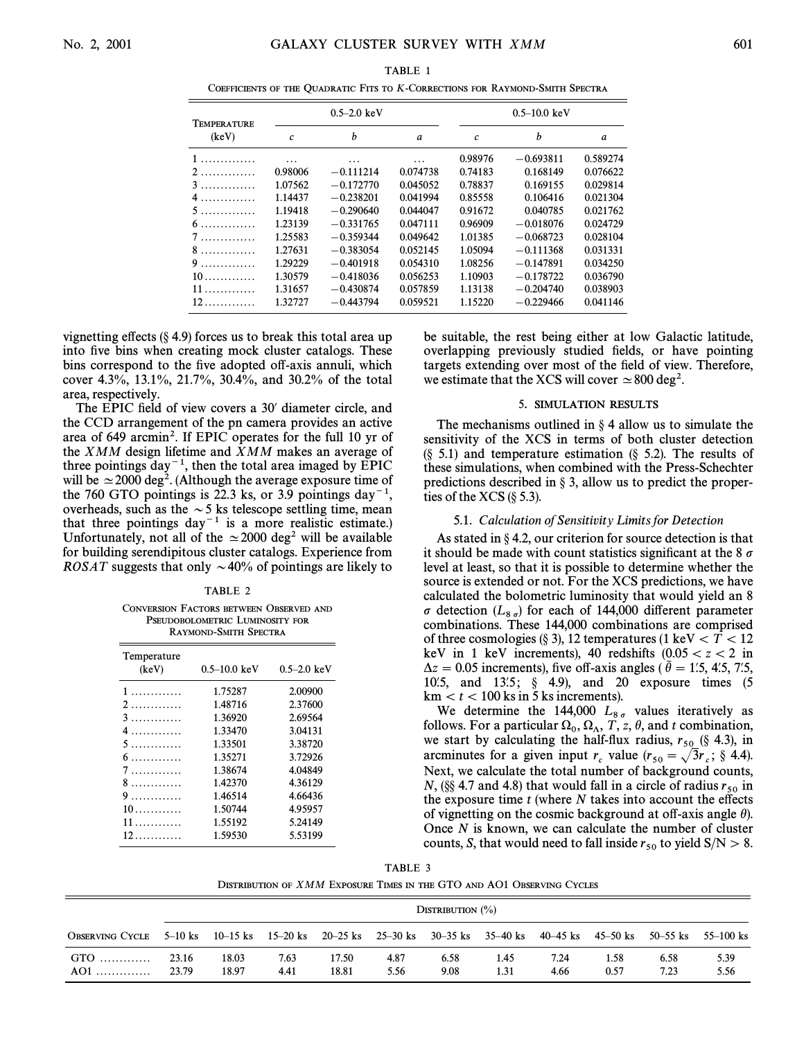| TABLE 1                                                                       |
|-------------------------------------------------------------------------------|
| COEFFICIENTS OF THE OUADRATIC FITS TO K-CORRECTIONS FOR RAYMOND-SMITH SPECTRA |

| <b>TEMPERATURE</b> |                   | $0.5 - 2.0 \text{ keV}$ |          | $0.5 - 10.0$ keV |             |          |  |
|--------------------|-------------------|-------------------------|----------|------------------|-------------|----------|--|
| (keV)              | $\mathcal{C}_{0}$ | b                       | a        | $\mathcal{C}$    | h           | a        |  |
| 1                  | .                 | $\cdots$                | $\cdots$ | 0.98976          | $-0.693811$ | 0.589274 |  |
| 2.                 | 0.98006           | $-0.111214$             | 0.074738 | 0.74183          | 0.168149    | 0.076622 |  |
| 3.                 | 1.07562           | $-0.172770$             | 0.045052 | 0.78837          | 0.169155    | 0.029814 |  |
| 4.                 | 1.14437           | $-0.238201$             | 0.041994 | 0.85558          | 0.106416    | 0.021304 |  |
| 5.                 | 1.19418           | $-0.290640$             | 0.044047 | 0.91672          | 0.040785    | 0.021762 |  |
|                    | 1.23139           | $-0.331765$             | 0.047111 | 0.96909          | $-0.018076$ | 0.024729 |  |
| 7.                 | 1.25583           | $-0.359344$             | 0.049642 | 1.01385          | $-0.068723$ | 0.028104 |  |
| 8.                 | 1.27631           | $-0.383054$             | 0.052145 | 1.05094          | $-0.111368$ | 0.031331 |  |
|                    | 1.29229           | $-0.401918$             | 0.054310 | 1.08256          | $-0.147891$ | 0.034250 |  |
|                    | 1.30579           | $-0.418036$             | 0.056253 | 1.10903          | $-0.178722$ | 0.036790 |  |
| 11.                | 1.31657           | $-0.430874$             | 0.057859 | 1.13138          | $-0.204740$ | 0.038903 |  |
|                    | 1.32727           | $-0.443794$             | 0.059521 | 1.15220          | $-0.229466$ | 0.041146 |  |

vignetting effects  $(\S 4.9)$  forces us to break this total area up into five bins when creating mock cluster catalogs. These bins correspond to the five adopted off-axis annuli, which cover 4.3%, 13.1%, 21.7%, 30.4%, and 30.2% of the total area, respectively.

The EPIC field of view covers a 30' diameter circle, and the CCD arrangement of the pn camera provides an active area of 649 arcmin<sup>2</sup>. If EPIC operates for the full 10 yr of the XMM design lifetime and XMM makes an average of three pointings day<sup> $-1$ </sup>, then the total area imaged by EPIC will be  $\simeq$  2000 deg<sup>2</sup>. (Although the average exposure time of the 760 GTO pointings is 22.3 ks, or 3.9 pointings day<sup>-1</sup>, overheads, such as the  $\sim$  5 ks telescope settling time, mean that three pointings  $day^{-1}$  is a more realistic estimate.) Unfortunately, not all of the  $\simeq$  2000 deg<sup>2</sup> will be available for building serendipitous cluster catalogs. Experience from ROSAT suggests that only  $\sim$  40% of pointings are likely to

#### TABLE 2

| CONVERSION FACTORS BETWEEN OBSERVED AND |  |
|-----------------------------------------|--|
| PSEUDOBOLOMETRIC LUMINOSITY FOR         |  |
| RAYMOND-SMITH SPECTRA                   |  |

| Temperature<br>(keV)     | $0.5 - 10.0$ keV | $0.5 - 2.0 \text{ keV}$ |
|--------------------------|------------------|-------------------------|
| 1                        | 1.75287          | 2.00900                 |
| 2                        | 1.48716          | 2.37600                 |
| 3                        | 1.36920          | 2.69564                 |
| 4                        | 1.33470          | 3.04131                 |
| 5                        | 1.33501          | 3.38720                 |
| $6 \ldots \ldots \ldots$ | 1.35271          | 3.72926                 |
| 7                        | 1.38674          | 4.04849                 |
| 8.                       | 1.42370          | 4.36129                 |
| $9$                      | 1.46514          | 4.66436                 |
| $10$                     | 1.50744          | 4.95957                 |
| 11                       | 1.55192          | 5.24149                 |
| 12                       | 1.59530          | 5.53199                 |
|                          |                  |                         |

be suitable, the rest being either at low Galactic latitude, overlapping previously studied fields, or have pointing targets extending over most of the field of view. Therefore, we estimate that the XCS will cover  $\simeq 800$  deg<sup>2</sup>.

#### 5. SIMULATION RESULTS

The mechanisms outlined in  $\S 4$  allow us to simulate the sensitivity of the XCS in terms of both cluster detection  $(\S$  5.1) and temperature estimation  $(\S$  5.2). The results of these simulations, when combined with the Press-Schechter predictions described in  $\S$  3, allow us to predict the properties of the XCS  $(\S 5.3)$ .

#### 5.1. Calculation of Sensitivity Limits for Detection

As stated in  $\S 4.2$ , our criterion for source detection is that it should be made with count statistics significant at the 8  $\sigma$ level at least, so that it is possible to determine whether the source is extended or not. For the XCS predictions, we have calculated the bolometric luminosity that would yield an 8  $\sigma$  detection  $(L_{8\sigma})$  for each of 144,000 different parameter combinations. These 144,000 combinations are comprised combinations. These 144,000 combinations are comprised of three cosmologies (§ 3), 12 temperatures (1 keV  $\lt T \lt 12$ keV in 1 keV increments), 40 redshifts  $(0.05\ < z\ < 2$  in  $\Delta z = 0.05$  increments), five off-axis angles (  $\theta = 1.5$ , 4.5, 7.5, 10.5, and 13.5;  $\frac{6}{5}$  4.9), and 20 exposure times (5 km  $lt$   $t$   $lt$  100 ks in 5 ks increments).

We determine the 144,000  $L_{8\sigma}$  values iteratively as follows. For a particular  $\Omega_0$ ,  $\Omega_{\Lambda}$ , T, z,  $\theta$ , and t combination, we start by calculating the half-flux radius r  $(8, 4, 3)$  in we start by calculating the half-flux radius,  $r_{50}$  (§ 4.3), in arcminutes for a given input  $r_c$  value  $(r_{50} = \sqrt{3}r_c;$  § 4.4).  $_{50} = \sqrt{3r_c};$ Even the total number of background counts,<br>Next, we calculate the total number of background counts, N, (§§ 4.7 and 4.8) that would fall in a circle of radius  $r_{50}$  in the exposure time  $t$  (where  $N$  takes into account the effects of vignetting on the cosmic background at off-axis angle  $\theta$ ). Once  $N$  is known, we can calculate the number of cluster counts, S, that would need to fall inside  $r_{50}$  to yield  $S/N > 8$ .

TABLE 3 DISTRIBUTION OF  $XMM$  EXPOSURE TIMES IN THE GTO AND  $\operatorname{AO1}$  Observing Cycles

|                                                                                                                    | DISTRIBUTION $(\% )$ |                |              |                |              |              |              |              |              |              |              |
|--------------------------------------------------------------------------------------------------------------------|----------------------|----------------|--------------|----------------|--------------|--------------|--------------|--------------|--------------|--------------|--------------|
| OBSERVING CYCLE 5-10 ks 10-15 ks 15-20 ks 20-25 ks 25-30 ks 30-35 ks 35-40 ks 40-45 ks 45-50 ks 50-55 ks 55-100 ks |                      |                |              |                |              |              |              |              |              |              |              |
| GTO<br>AO1                                                                                                         | 23.16<br>23.79       | 18.03<br>18.97 | 7.63<br>4.41 | 17.50<br>18.81 | 4.87<br>5.56 | 6.58<br>9.08 | 1.45<br>1.31 | 7.24<br>4.66 | 1.58<br>0.57 | 6.58<br>7.23 | 5.39<br>5.56 |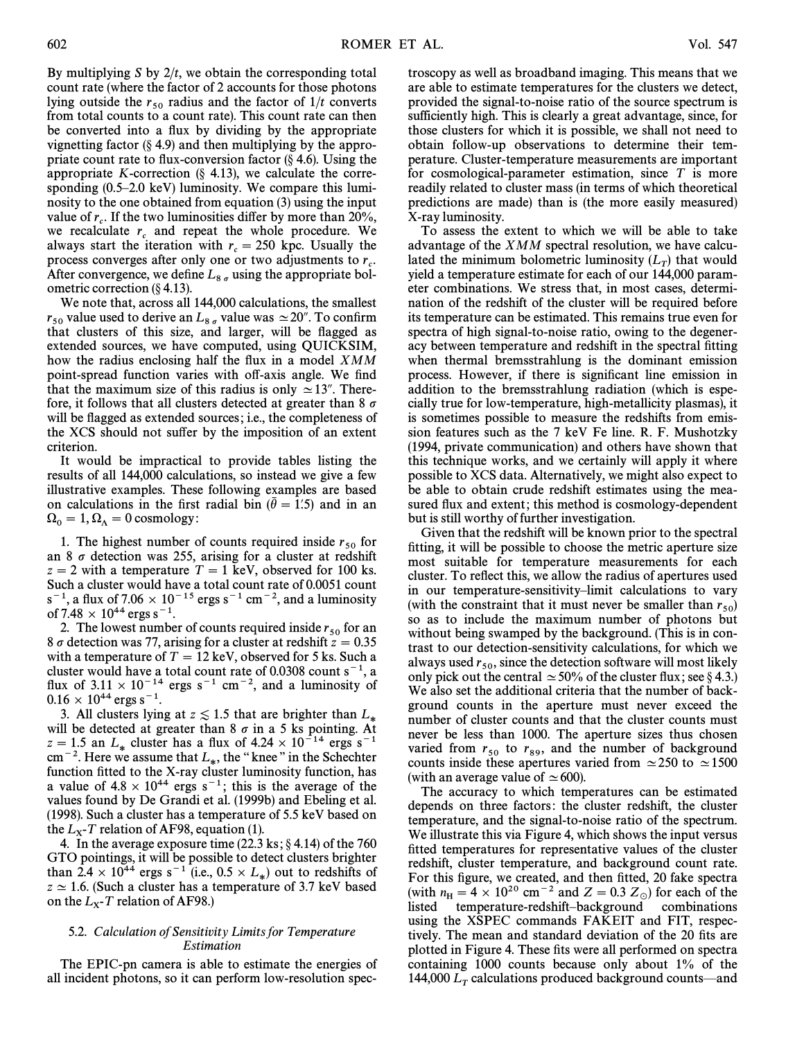By multiplying S by  $2/t$ , we obtain the corresponding total count rate (where the factor of 2 accounts for those photons lying outside the  $r_{50}$  radius and the factor of  $1/t$  converts from total counts to a count rate). This count rate can then be converted into a flux by dividing by the appropriate vignetting factor  $(\S 4.9)$  and then multiplying by the appropriate count rate to flux-conversion factor  $(\S 4.6)$ . Using the appropriate K-correction  $(\S$  4.13), we calculate the corresponding  $(0.5-2.0 \text{ keV})$  luminosity. We compare this luminosity to the one obtained from equation (3) using the input value of  $r_c$ . If the two luminosities differ by more than 20%, we recalculate  $r_c$  and repeat the whole procedure. We recalculate  $r_c$  and repeat the whole procedure. always start the iteration with  $r_c = 250$  kpc. Usually the always start the field<br>form  $r_c = 250$  kpc. Estatisful the process converges after only one or two adjustments to  $r_c$ . After convergence, we define  $L_{8\sigma}$  using the appropriate bolometric correction (§ 4.13).

We note that, across all 144,000 calculations, the smallest  $r_{50}$  value used to derive an  $L_{8\sigma}$  value was  $\simeq$  20". To confirm that clusters of this size, and larger, will be flagged as extended sources, we have computed, using QUICKSIM, how the radius enclosing half the flux in a model  $XMM$ point-spread function varies with off-axis angle. We find that the maximum size of this radius is only  $\simeq$  13". Therefore, it follows that all clusters detected at greater than 8  $\sigma$ will be flagged as extended sources; i.e., the completeness of the XCS should not suffer by the imposition of an extent criterion.

It would be impractical to provide tables listing the results of all 144,000 calculations, so instead we give a few illustrative examples. These following examples are based on calculations in the first radial bin  $(\bar{\theta} = 1.5)$  and in an  $\Omega_0 = 1, \Omega_\Lambda = 0$  cosmology:

1. The highest number of counts required inside  $r_{50}$  for an 8  $\sigma$  detection was 255, arising for a cluster at redshift  $z = 2$  with a temperature  $T = 1$  keV, observed for 100 ks. Such a cluster would have a total count rate of 0.0051 count  $s^{-1}$ , a flux of 7.06  $\times$  10<sup>-15</sup> ergs s<sup>-1</sup> cm<sup>-2</sup>, and a luminosity of 7.48  $\times$  10<sup>44</sup> ergs s<sup>-1</sup>.

2. The lowest number of counts required inside  $r_{50}$  for an 8  $\sigma$  detection was 77, arising for a cluster at redshift  $z = 0.35$ with a temperature of  $T = 12 \text{ keV}$ , observed for 5 ks. Such a cluster would have a total count rate of 0.0308 count  $s^{-1}$ , a flux of  $3.11 \times 10^{-14}$  ergs s<sup>-1</sup> cm<sup>-2</sup>, and a luminosity of  $0.16 \times 10^{44}$  ergs s<sup>-1</sup>.

3. All clusters lying at  $z \le 1.5$  that are brighter than  $L_*$  will be detected at greater than 8  $\sigma$  in a 5 ks pointing. At  $z = 1.5$  an  $L_*$  cluster has a flux of 4.24  $\times$  10<sup>-14</sup> ergs s<sup>-1</sup>  $z = 1.5$  an  $L_*$  cluster has a flux of  $4.24 \times 10^{-14}$  ergs s<sup>-1</sup> cm<sup>-2</sup>. Here we assume that  $L_*$ , the "knee" in the Schechter function fitted to the Y ray cluster luminosity function has function fitted to the X-ray cluster luminosity function, has a value of  $4.8 \times 10^{44}$  ergs s<sup>-1</sup>; this is the average of the values found by De Grandi et al. (1999b) and Ebeling et al. (1998). Such a cluster has a temperature of 5.5 keV based on the  $L_x$ -T relation of AF98, equation (1).

4. In the average exposure time  $(22.3 \text{ ks}; \S 4.14)$  of the 760 GTO pointings, it will be possible to detect clusters brighter than 2.4  $\times$  10<sup>44</sup> ergs s<sup>-1</sup> (i.e., 0.5  $\times$  L<sub>\*</sub>) out to redshifts of  $7 \times 16$  (Such a cluster has a temperature of 3.7 keV based  $z \approx 1.6$ . (Such a cluster has a temperature of 3.7 keV based on the  $L_X$ -T relation of AF98.)

## 5.2. Calculation of Sensitivity Limits for Temperature Estimation

The EPIC-pn camera is able to estimate the energies of all incident photons, so it can perform low-resolution spectroscopy as well as broadband imaging. This means that we are able to estimate temperatures for the clusters we detect, provided the signal-to-noise ratio of the source spectrum is sufficiently high. This is clearly a great advantage, since, for those clusters for which it is possible, we shall not need to obtain follow-up observations to determine their temperature. Cluster-temperature measurements are important for cosmological-parameter estimation, since  $T$  is more readily related to cluster mass (in terms of which theoretical predictions are made) than is (the more easily measured) X-ray luminosity.

To assess the extent to which we will be able to take advantage of the XMM spectral resolution, we have calculated the minimum bolometric luminosity  $(L_T)$  that would<br>vield a temperature estimate for each of our 144,000 paramyield a temperature estimate for each of our 144,000 parameter combinations. We stress that, in most cases, determination of the redshift of the cluster will be required before its temperature can be estimated. This remains true even for spectra of high signal-to-noise ratio, owing to the degeneracy between temperature and redshift in the spectral fitting when thermal bremsstrahlung is the dominant emission process. However, if there is significant line emission in addition to the bremsstrahlung radiation (which is especially true for low-temperature, high-metallicity plasmas), it is sometimes possible to measure the redshifts from emission features such as the 7 keV Fe line. R. F. Mushotzky (1994, private communication) and others have shown that this technique works, and we certainly will apply it where possible to XCS data. Alternatively, we might also expect to be able to obtain crude redshift estimates using the measured flux and extent; this method is cosmology-dependent but is still worthy of further investigation.

Given that the redshift will be known prior to the spectral fitting, it will be possible to choose the metric aperture size most suitable for temperature measurements for each cluster. To reflect this, we allow the radius of apertures used in our temperature-sensitivity-limit calculations to vary (with the constraint that it must never be smaller than  $r_{50}$ )<br>so as to include the maximum number of photons but so as to include the maximum number of photons but without being swamped by the background. (This is in contrast to our detection-sensitivity calculations, for which we always used  $r_{50}$ , since the detection software will most likely<br>only pick out the central  $\sim$  50% of the cluster flux: see 8.4.3. only pick out the central  $\simeq$  50% of the cluster flux; see § 4.3.) We also set the additional criteria that the number of background counts in the aperture must never exceed the number of cluster counts and that the cluster counts must never be less than 1000. The aperture sizes thus chosen varied from  $r_{50}$  to  $r_{89}$ , and the number of background<br>counts inside these apertures varied from  $\approx 250$  to  $\approx 1500$ counts inside these apertures varied from  $\simeq$  250 to  $\simeq$  1500 (with an average value of  $\simeq$  600).

The accuracy to which temperatures can be estimated depends on three factors: the cluster redshift, the cluster temperature, and the signal-to-noise ratio of the spectrum. We illustrate this via Figure 4, which shows the input versus fitted temperatures for representative values of the cluster redshift, cluster temperature, and background count rate. For this figure, we created, and then fitted, 20 fake spectra (with  $n_{\text{H}} = 4 \times 10^{20} \text{ cm}^{-2}$  and  $Z = 0.3 Z_{\odot}$ ) for each of the listed temperature-redshift-background combinations using the XSPEC commands FAKEIT and FIT, respectively. The mean and standard deviation of the 20 fits are plotted in Figure 4. These fits were all performed on spectra containing 1000 counts because only about 1% of the 144,000  $L<sub>T</sub>$  calculations produced background counts—and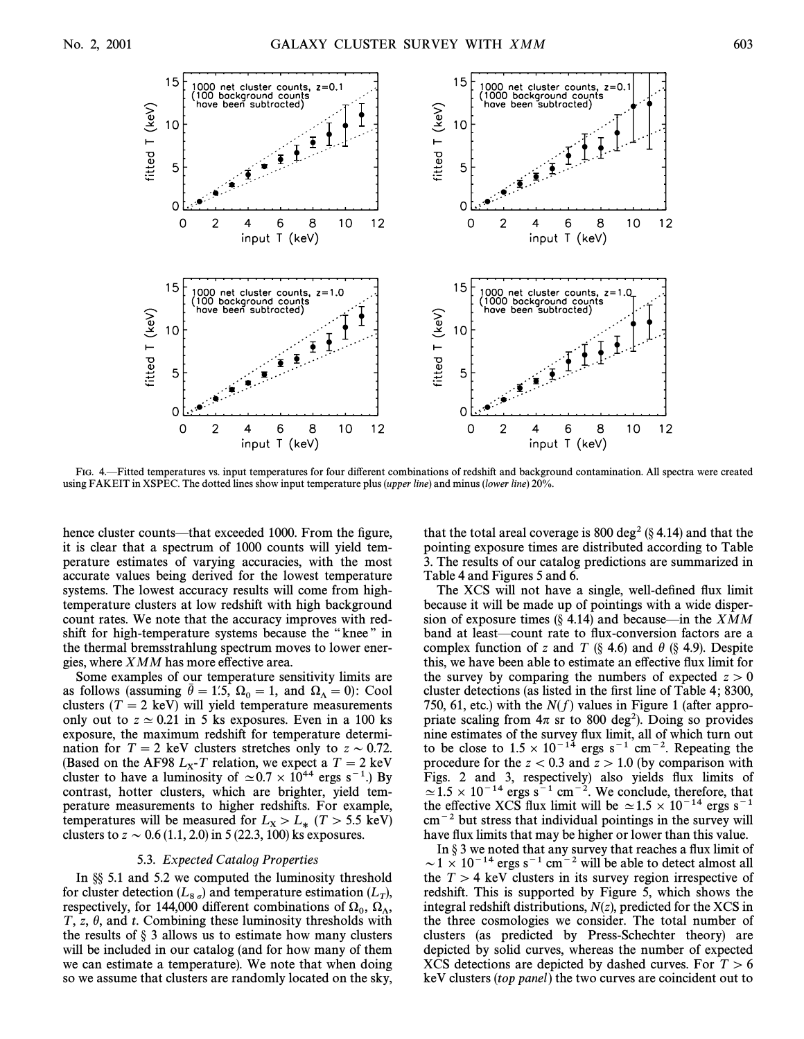

FIG. 4.ÈFitted temperatures vs. input temperatures for four di†erent combinations of redshift and background contamination. All spectra were created using FAKEIT in XSPEC. The dotted lines show input temperature plus (upper line) and minus (lower line) 20%.

hence cluster counts—that exceeded 1000. From the figure, it is clear that a spectrum of 1000 counts will yield temperature estimates of varying accuracies, with the most accurate values being derived for the lowest temperature systems. The lowest accuracy results will come from hightemperature clusters at low redshift with high background count rates. We note that the accuracy improves with redshift for high-temperature systems because the "knee" in the thermal bremsstrahlung spectrum moves to lower energies, where  $XMM$  has more effective area.

Some examples of our temperature sensitivity limits are as follows (assuming  $\bar{\theta} = 1.5$ ,  $\Omega_0 = 1$ , and  $\Omega_\Lambda = 0$ ): Cool clusters ( $T = 2$  keV) will yield temperature measurements only out to  $z \approx 0.21$  in 5 ks exposures. Even in a 100 ks exposure, the maximum redshift for temperature determination for  $T = 2$  keV clusters stretches only to  $z \sim 0.72$ . (Based on the AF98  $L_x$ -T relation, we expect a  $T = 2 \text{ keV}$ <br>cluster to have a luminosity of  $\sim 0.7 \times 10^{44}$  ergs s<sup>-1</sup>). cluster to have a luminosity of  $\simeq 0.7 \times 10^{44}$  ergs s<sup>-1</sup>.) By contrast, hotter clusters, which are brighter, yield temperature measurements to higher redshifts. For example, temperatures will be measured for  $L_X > L_*$  ( $T > 5.5$  keV) clusters to  $z \sim 0.6$  (1.1, 2.0) in 5 (22.3, 100) ks exposures.

#### 5.3. Expected Catalog Properties

In  $\S$  5.1 and 5.2 we computed the luminosity threshold for cluster detection  $(L_{8g})$  and temperature estimation  $(L_T)$ ,<br>respectively, for 144,000 different combinations of O, O respectively, for 144,000 different combinations of  $\Omega_0$ ,  $\Omega_{\Lambda}$ ,  $T_z$ ,  $\theta$  and t. Combining these luminosity thresholds with  $T$ , z,  $\theta$ , and t. Combining these luminosity thresholds with the results of  $\S$  3 allows us to estimate how many clusters will be included in our catalog (and for how many of them we can estimate a temperature). We note that when doing so we assume that clusters are randomly located on the sky,

that the total areal coverage is 800 deg<sup>2</sup> ( $\S$  4.14) and that the pointing exposure times are distributed according to Table 3. The results of our catalog predictions are summarized in Table 4 and Figures 5 and 6.

The XCS will not have a single, well-defined flux limit because it will be made up of pointings with a wide dispersion of exposure times  $(\S$  4.14) and because—in the *XMM* band at least—count rate to flux-conversion factors are a complex function of z and T (§ 4.6) and  $\theta$  (§ 4.9). Despite this, we have been able to estimate an effective flux limit for the survey by comparing the numbers of expected  $z > 0$ cluster detections (as listed in the first line of Table 4; 8300, 750, 61, etc.) with the  $N(f)$  values in Figure 1 (after appropriate scaling from  $4\pi$  sr to 800 deg<sup>2</sup>). Doing so provides nine estimates of the survey flux limit, all of which turn out to be close to  $1.5 \times 10^{-14}$  ergs s<sup>-1</sup> cm<sup>-2</sup>. Repeating the procedure for the  $z < 0.3$  and  $z > 1.0$  (by comparison with Figs. 2 and 3, respectively) also yields flux limits of  $\simeq$  1.5  $\times$  10<sup>-14</sup> ergs s<sup>-1</sup> cm<sup>-2</sup>. We conclude, therefore, that the effective XCS flux limit will be  $\simeq 1.5 \times 10^{-14}$  ergs s<sup>-1</sup>  $\text{cm}^{-2}$  but stress that individual pointings in the survey will have flux limits that may be higher or lower than this value.

In  $\S 3$  we noted that any survey that reaches a flux limit of  $\sim$  1  $\times$  10<sup>-14</sup> ergs s<sup>-1</sup> cm<sup>-2</sup> will be able to detect almost all the  $T > 4$  keV clusters in its survey region irrespective of redshift. This is supported by Figure 5, which shows the integral redshift distributions,  $N(z)$ , predicted for the XCS in the three cosmologies we consider. The total number of clusters (as predicted by Press-Schechter theory) are depicted by solid curves, whereas the number of expected XCS detections are depicted by dashed curves. For  $T > 6$ keV clusters (top panel) the two curves are coincident out to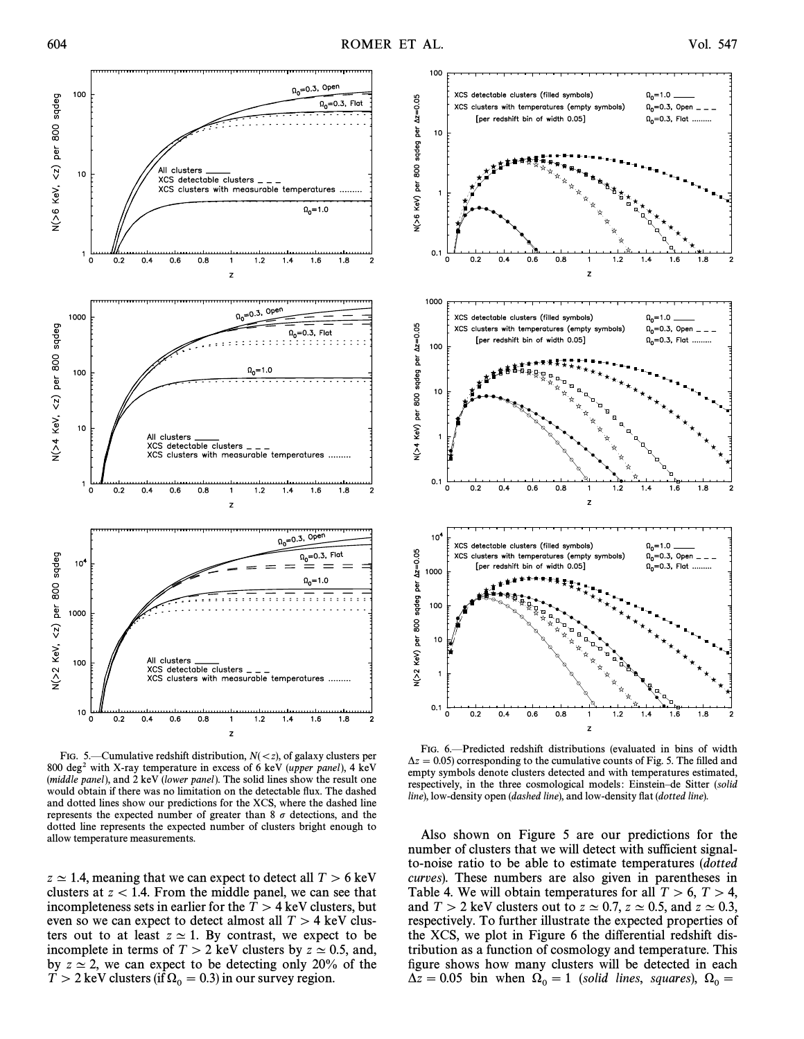

FIG. 5.—Cumulative redshift distribution,  $N(\langle z \rangle)$ , of galaxy clusters per 800 deg<sup>2</sup> with X-ray temperature in excess of 6 keV (upper panel), 4 keV (middle panel), and  $2 \text{ keV}$  (lower panel). The solid lines show the result one would obtain if there was no limitation on the detectable flux. The dashed and dotted lines show our predictions for the XCS, where the dashed line represents the expected number of greater than 8  $\sigma$  detections, and the dotted line represents the expected number of clusters bright enough to allow temperature measurements.

 $z \approx 1.4$ , meaning that we can expect to detect all  $T > 6$  keV clusters at  $z < 1.4$ . From the middle panel, we can see that incompleteness sets in earlier for the  $T > 4$  keV clusters, but even so we can expect to detect almost all  $T > 4$  keV clusters out to at least  $z \approx 1$ . By contrast, we expect to be incomplete in terms of  $T > 2$  keV clusters by  $z \approx 0.5$ , and, by  $z \approx 2$ , we can expect to be detecting only 20% of the  $T > 2$  keV clusters (if  $\Omega_0 = 0.3$ ) in our survey region.



FIG. 6.-Predicted redshift distributions (evaluated in bins of width  $\Delta z = 0.05$ ) corresponding to the cumulative counts of Fig. 5. The filled and empty symbols denote clusters detected and with temperatures estimated, respectively, in the three cosmological models: Einstein-de Sitter (solid line), low-density open (dashed line), and low-density flat (dotted line).

Also shown on Figure 5 are our predictions for the number of clusters that we will detect with sufficient signalto-noise ratio to be able to estimate temperatures (dotted curves). These numbers are also given in parentheses in Table 4. We will obtain temperatures for all  $T > 6$ ,  $T > 4$ , and  $T > 2$  keV clusters out to  $z \approx 0.7, z \approx 0.5$ , and  $z \approx 0.3$ , respectively. To further illustrate the expected properties of the XCS, we plot in Figure 6 the di†erential redshift distribution as a function of cosmology and temperature. This figure shows how many clusters will be detected in each  $\Delta z = 0.05$  bin when  $\Omega_0 = 1$  (solid lines, squares),  $\Omega_0 =$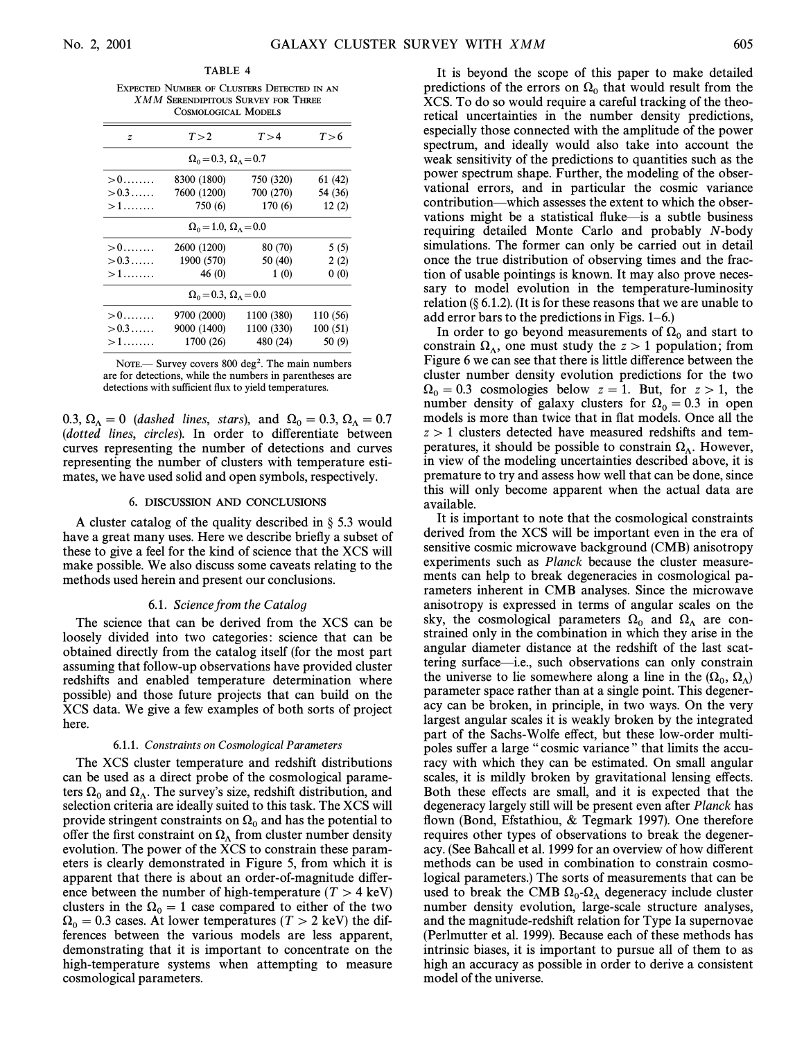EXPECTED NUMBER OF CLUSTERS DETECTED IN AN XMM SERENDIPITOUS SURVEY FOR THREE COSMOLOGICAL MODELS

TABLE 4

| $\boldsymbol{z}$                            | T > 2       | T > 4      | T > 6    |  |  |  |  |
|---------------------------------------------|-------------|------------|----------|--|--|--|--|
| $\Omega_0$ = 0.3, $\Omega_\Lambda$ = 0.7    |             |            |          |  |  |  |  |
| $>0$                                        | 8300 (1800) | 750 (320)  | 61 (42)  |  |  |  |  |
| $> 0.3 \dots$                               | 7600 (1200) | 700 (270)  | 54 (36)  |  |  |  |  |
| $>1$                                        | 750 (6)     | 170(6)     | 12(2)    |  |  |  |  |
| $\Omega_0 = 1.0$ , $\Omega_{\Lambda} = 0.0$ |             |            |          |  |  |  |  |
| $>$ $0$ $\dots$ $\dots$                     | 2600 (1200) | 80 (70)    | 5(5)     |  |  |  |  |
| $>0.3\dots$ .                               | 1900 (570)  | 50 (40)    | 2(2)     |  |  |  |  |
| $>1$                                        | 46(0)       | 1(0)       | 0(0)     |  |  |  |  |
| $\Omega_0 = 0.3$ , $\Omega_{\Lambda} = 0.0$ |             |            |          |  |  |  |  |
| $>0$                                        | 9700 (2000) | 1100 (380) | 110 (56) |  |  |  |  |
| $>$ 0.3                                     | 9000 (1400) | 1100 (330) | 100(51)  |  |  |  |  |
| $>1$                                        | 1700 (26)   | 480 (24)   | 50(9)    |  |  |  |  |

NOTE.— Survey covers  $800 \text{ deg}^2$ . The main numbers are for detections, while the numbers in parentheses are detections with sufficient flux to yield temperatures.

0.3,  $\Omega_{\Lambda} = 0$  (dashed lines, stars), and  $\Omega_0 = 0.3, \Omega_{\Lambda} = 0.7$ (dotted lines, circles). In order to differentiate between curves representing the number of detections and curves representing the number of clusters with temperature estimates, we have used solid and open symbols, respectively.

#### 6. DISCUSSION AND CONCLUSIONS

A cluster catalog of the quality described in  $\S$  5.3 would have a great many uses. Here we describe briefly a subset of these to give a feel for the kind of science that the XCS will make possible. We also discuss some caveats relating to the methods used herein and present our conclusions.

#### 6.1. Science from the Catalog

The science that can be derived from the XCS can be loosely divided into two categories: science that can be obtained directly from the catalog itself (for the most part assuming that follow-up observations have provided cluster redshifts and enabled temperature determination where possible) and those future projects that can build on the XCS data. We give a few examples of both sorts of project here.

#### 6.1.1. Constraints on Cosmological Parameters

The XCS cluster temperature and redshift distributions can be used as a direct probe of the cosmological parameters  $\Omega_0$  and  $\Omega_\Lambda$ . The survey's size, redshift distribution, and selection criteria are ideally suited to this task. The YCS will selection criteria are ideally suited to this task. The XCS will provide stringent constraints on  $\Omega_0$  and has the potential to offer the first constraint on  $\Omega_\Lambda$  from cluster number density evolution. The power of the XCS to constrain these parameters is clearly demonstrated in Figure 5, from which it is apparent that there is about an order-of-magnitude difference between the number of high-temperature ( $T > 4$  keV) clusters in the  $\Omega_0 = 1$  case compared to either of the two  $\Omega_0 = 0.3$  cases. At lower temperatures (T > 2 keV) the differences between the various models are less apparent, demonstrating that it is important to concentrate on the high-temperature systems when attempting to measure cosmological parameters.

It is beyond the scope of this paper to make detailed predictions of the errors on  $\Omega_0$  that would result from the XCS. To do so would require a careful tracking of the theoretical uncertainties in the number density predictions, especially those connected with the amplitude of the power spectrum, and ideally would also take into account the weak sensitivity of the predictions to quantities such as the power spectrum shape. Further, the modeling of the observational errors, and in particular the cosmic variance contribution—which assesses the extent to which the observations might be a statistical fluke—is a subtle business requiring detailed Monte Carlo and probably N-body simulations. The former can only be carried out in detail once the true distribution of observing times and the fraction of usable pointings is known. It may also prove necessary to model evolution in the temperature-luminosity relation  $(\S 6.1.2)$ . (It is for these reasons that we are unable to add error bars to the predictions in Figs.  $1-6$ .)

In order to go beyond measurements of  $\Omega_0$  and start to constrain  $\Omega_{\Lambda}$ , one must study the  $z > 1$  population; from Figure 6 we can see that there is little difference between the cluster number density evolution predictions for the two  $\Omega_0 = 0.3$  cosmologies below  $z = 1$ . But, for  $z > 1$ , the number density of galaxy clusters for  $\Omega_0 = 0.3$  in open models is more than twice that in flat models. Once all the  $z > 1$  clusters detected have measured redshifts and temperatures, it should be possible to constrain  $\Omega_{\Lambda}$ . However, in view of the modeling uncertainties described above it is in view of the modeling uncertainties described above, it is premature to try and assess how well that can be done, since this will only become apparent when the actual data are available.

It is important to note that the cosmological constraints derived from the XCS will be important even in the era of sensitive cosmic microwave background (CMB) anisotropy experiments such as Planck because the cluster measurements can help to break degeneracies in cosmological parameters inherent in CMB analyses. Since the microwave anisotropy is expressed in terms of angular scales on the sky, the cosmological parameters  $\Omega_0$  and  $\Omega_\Lambda$  are constrained only in the combination in which they arise in the angular diameter distance at the redshift of the last scattering surface—i.e., such observations can only constrain the universe to lie somewhere along a line in the  $(\Omega_0, \Omega_\Lambda)$ <br>parameter space rather than at a single point. This degeneration parameter space rather than at a single point. This degeneracy can be broken, in principle, in two ways. On the very largest angular scales it is weakly broken by the integrated part of the Sachs-Wolfe effect, but these low-order multipoles suffer a large "cosmic variance" that limits the accuracy with which they can be estimated. On small angular scales, it is mildly broken by gravitational lensing effects. Both these effects are small, and it is expected that the degeneracy largely still will be present even after Planck has flown (Bond, Efstathiou,  $&$  Tegmark 1997). One therefore requires other types of observations to break the degeneracy. (See Bahcall et al. 1999 for an overview of how di†erent methods can be used in combination to constrain cosmological parameters.) The sorts of measurements that can be used to break the CMB  $\Omega_0$ - $\Omega_{\Lambda}$  degeneracy include cluster number density evolution, large-scale structure analyses number density evolution, large-scale structure analyses, and the magnitude-redshift relation for Type Ia supernovae (Perlmutter et al. 1999). Because each of these methods has intrinsic biases, it is important to pursue all of them to as high an accuracy as possible in order to derive a consistent model of the universe.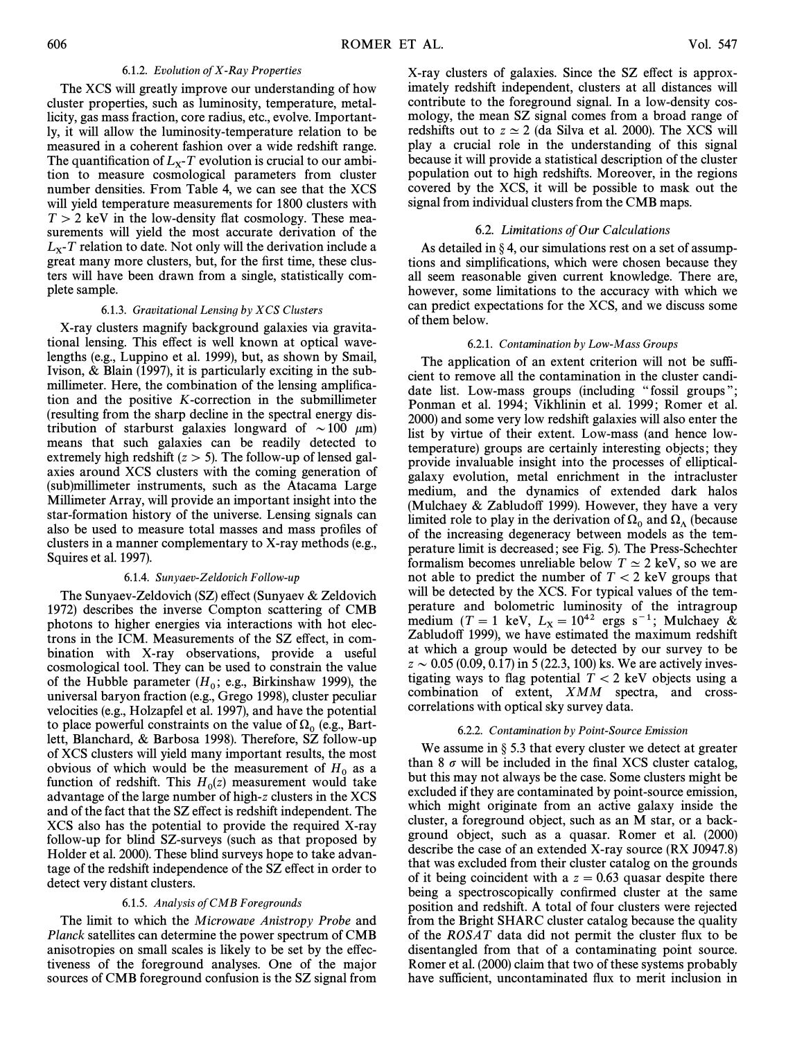#### 6.1.2. Evolution of X-Ray Properties

The XCS will greatly improve our understanding of how cluster properties, such as luminosity, temperature, metallicity, gas mass fraction, core radius, etc., evolve. Importantly, it will allow the luminosity-temperature relation to be measured in a coherent fashion over a wide redshift range. The quantification of  $L_x$ -T evolution is crucial to our ambi-<br>tion to measure cosmological parameters from cluster tion to measure cosmological parameters from cluster number densities. From Table 4, we can see that the XCS will yield temperature measurements for 1800 clusters with  $T > 2$  keV in the low-density flat cosmology. These measurements will yield the most accurate derivation of the  $L_X$ -T relation to date. Not only will the derivation include a  $\alpha$  areat many more clusters, but for the first time, these clus. great many more clusters, but, for the first time, these clusters will have been drawn from a single, statistically complete sample.

#### 6.1.3. Gravitational Lensing by  $XCS$  Clusters

X-ray clusters magnify background galaxies via gravitational lensing. This effect is well known at optical wavelengths (e.g., Luppino et al. 1999), but, as shown by Smail, Ivison, & Blain (1997), it is particularly exciting in the submillimeter. Here, the combination of the lensing amplification and the positive K-correction in the submillimeter (resulting from the sharp decline in the spectral energy distribution of starburst galaxies longward of  $\sim 100 \mu m$ ) means that such galaxies can be readily detected to extremely high redshift  $(z > 5)$ . The follow-up of lensed galaxies around XCS clusters with the coming generation of (sub)millimeter instruments, such as the Atacama Large Millimeter Array, will provide an important insight into the star-formation history of the universe. Lensing signals can also be used to measure total masses and mass profiles of clusters in a manner complementary to X-ray methods (e.g., Squires et al. 1997).

#### 6.1.4. Sunyaev-Zeldovich Follow-up

The Sunyaev-Zeldovich (SZ) effect (Sunyaev & Zeldovich 1972) describes the inverse Compton scattering of CMB photons to higher energies via interactions with hot electrons in the ICM. Measurements of the SZ effect, in combination with X-ray observations, provide a useful cosmological tool. They can be used to constrain the value of the Hubble parameter  $(H_0; e.g., Birkinshaw 1999)$ , the universal baryon fraction (e.g., Grego 1998), cluster peculiar universal baryon fraction (e.g., Grego 1998), cluster peculiar velocities (e.g., Holzapfel et al. 1997), and have the potential to place powerful constraints on the value of  $\Omega_0$  (e.g., Bart-<br>lett, Blanchard, & Barbosa 1998). Therefore, SZ follow-up of XCS clusters will yield many important results, the most obvious of which would be the measurement of  $H_0$  as a function of redshift. This  $H_0(z)$  measurement would take advantage of the large number of high z clusters in the YCS advantage of the large number of high-z clusters in the XCS and of the fact that the SZ effect is redshift independent. The XCS also has the potential to provide the required X-ray follow-up for blind SZ-surveys (such as that proposed by Holder et al. 2000). These blind surveys hope to take advantage of the redshift independence of the SZ effect in order to detect very distant clusters.

#### 6.1.5. Analysis of CMB Foregrounds

The limit to which the Microwave Anistropy Probe and Planck satellites can determine the power spectrum of CMB anisotropies on small scales is likely to be set by the e†ectiveness of the foreground analyses. One of the major sources of CMB foreground confusion is the SZ signal from

X-ray clusters of galaxies. Since the SZ effect is approximately redshift independent, clusters at all distances will contribute to the foreground signal. In a low-density cosmology, the mean SZ signal comes from a broad range of redshifts out to  $z \approx 2$  (da Silva et al. 2000). The XCS will play a crucial role in the understanding of this signal because it will provide a statistical description of the cluster population out to high redshifts. Moreover, in the regions covered by the XCS, it will be possible to mask out the signal from individual clusters from the CMB maps.

#### 6.2. Limitations of Our Calculations

As detailed in  $\S 4$ , our simulations rest on a set of assumptions and simplifications, which were chosen because they all seem reasonable given current knowledge. There are, however, some limitations to the accuracy with which we can predict expectations for the XCS, and we discuss some of them below.

#### 6.2.1. Contamination by Low-Mass Groups

The application of an extent criterion will not be sufficient to remove all the contamination in the cluster candidate list. Low-mass groups (including "fossil groups"; Ponman et al. 1994; Vikhlinin et al. 1999; Romer et al. 2000) and some very low redshift galaxies will also enter the list by virtue of their extent. Low-mass (and hence lowtemperature) groups are certainly interesting objects ; they provide invaluable insight into the processes of ellipticalgalaxy evolution, metal enrichment in the intracluster medium, and the dynamics of extended dark halos (Mulchaey  $&$  Zabludoff 1999). However, they have a very limited role to play in the derivation of  $\Omega_0$  and  $\Omega_\Lambda$  (because of the increasing degeneracy between models as the temperature limit is decreased ; see Fig. 5). The Press-Schechter formalism becomes unreliable below  $T \simeq 2$  keV, so we are not able to predict the number of  $T \, < 2$  keV groups that will be detected by the XCS. For typical values of the temperature and bolometric luminosity of the intragroup medium  $(T = 1 \text{ keV}, L_X = 10^{42} \text{ ergs s}^{-1}$ ; Mulchaey &  $Z_2$  and  $T_1$  and  $T_2$  are not a set impated the maximum redshift Zabludo† 1999), we have estimated the maximum redshift at which a group would be detected by our survey to be  $z \sim 0.05$  (0.09, 0.17) in 5 (22.3, 100) ks. We are actively investigating ways to flag potential  $T \, < 2$  keV objects using a combination of extent, XMM spectra, and crosscorrelations with optical sky survey data.

#### 6.2.2. Contamination by Point-Source Emission

We assume in  $\S$  5.3 that every cluster we detect at greater than 8  $\sigma$  will be included in the final XCS cluster catalog, but this may not always be the case. Some clusters might be excluded if they are contaminated by point-source emission, which might originate from an active galaxy inside the cluster, a foreground object, such as an M star, or a background object, such as a quasar. Romer et al. (2000) describe the case of an extended X-ray source (RX J0947.8) that was excluded from their cluster catalog on the grounds of it being coincident with a  $z = 0.63$  quasar despite there being a spectroscopically confirmed cluster at the same position and redshift. A total of four clusters were rejected from the Bright SHARC cluster catalog because the quality of the ROSAT data did not permit the cluster Ñux to be disentangled from that of a contaminating point source. Romer et al. (2000) claim that two of these systems probably have sufficient, uncontaminated flux to merit inclusion in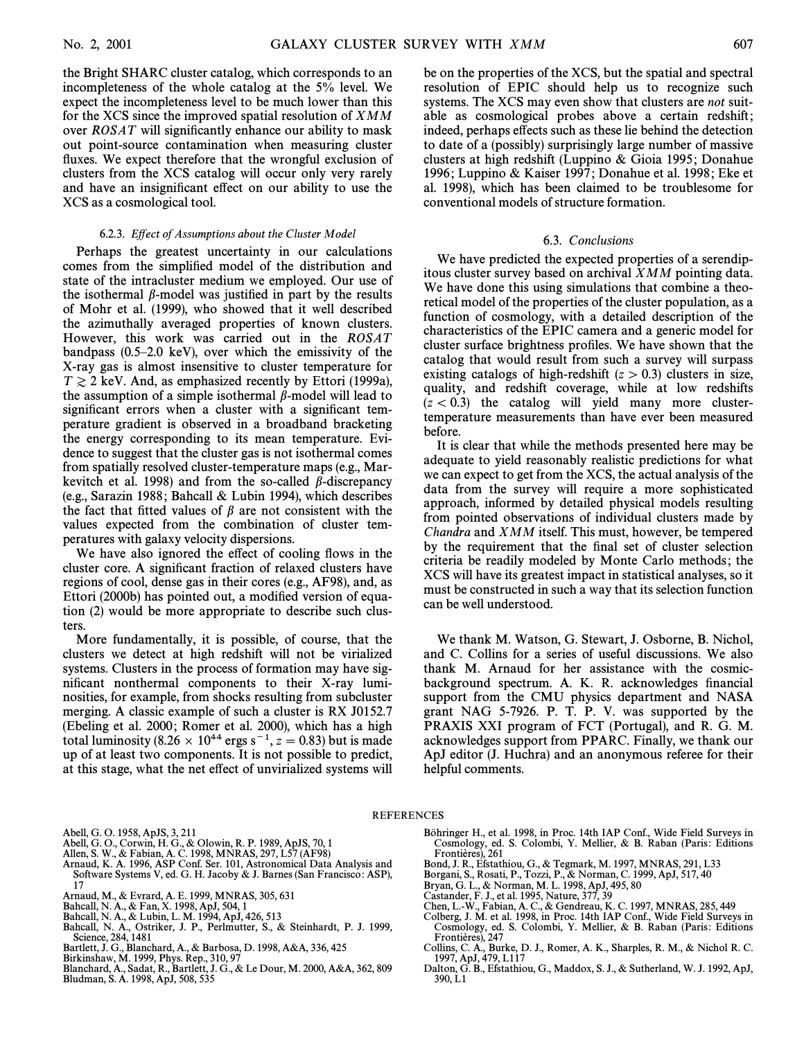the Bright SHARC cluster catalog, which corresponds to an incompleteness of the whole catalog at the 5% level. We expect the incompleteness level to be much lower than this for the XCS since the improved spatial resolution of XMM over  $ROSAT$  will significantly enhance our ability to mask out point-source contamination when measuring cluster fluxes. We expect therefore that the wrongful exclusion of clusters from the XCS catalog will occur only very rarely and have an insignificant effect on our ability to use the XCS as a cosmological tool.

#### 6.2.3. Effect of Assumptions about the Cluster Model

Perhaps the greatest uncertainty in our calculations comes from the simplified model of the distribution and state of the intracluster medium we employed. Our use of the isothermal  $\beta$ -model was justified in part by the results of Mohr et al. (1999), who showed that it well described the azimuthally averaged properties of known clusters. However, this work was carried out in the ROSAT bandpass  $(0.5-2.0 \text{ keV})$ , over which the emissivity of the X-ray gas is almost insensitive to cluster temperature for  $T \gtrsim 2$  keV. And, as emphasized recently by Ettori (1999a), the assumption of a simple isothermal  $\beta$ -model will lead to significant errors when a cluster with a significant temperature gradient is observed in a broadband bracketing the energy corresponding to its mean temperature. Evidence to suggest that the cluster gas is not isothermal comes from spatially resolved cluster-temperature maps (e.g., Markevitch et al. 1998) and from the so-called  $\beta$ -discrepancy (e.g., Sarazin 1988; Bahcall  $&$  Lubin 1994), which describes the fact that fitted values of  $\beta$  are not consistent with the values expected from the combination of cluster temperatures with galaxy velocity dispersions.

We have also ignored the effect of cooling flows in the cluster core. A significant fraction of relaxed clusters have regions of cool, dense gas in their cores (e.g., AF98), and, as Ettori (2000b) has pointed out, a modified version of equation (2) would be more appropriate to describe such clusters.

More fundamentally, it is possible, of course, that the clusters we detect at high redshift will not be virialized systems. Clusters in the process of formation may have significant nonthermal components to their X-ray luminosities, for example, from shocks resulting from subcluster merging. A classic example of such a cluster is RX J0152.7 (Ebeling et al. 2000; Romer et al. 2000), which has a high total luminosity (8.26  $\times$  10<sup>44</sup> ergs s<sup>-1</sup>, z<sup>2</sup> = 0.83) but is made up of at least two components. It is not possible to predict, at this stage, what the net effect of unvirialized systems will

be on the properties of the XCS, but the spatial and spectral resolution of EPIC should help us to recognize such systems. The XCS may even show that clusters are not suitable as cosmological probes above a certain redshift; indeed, perhaps effects such as these lie behind the detection to date of a (possibly) surprisingly large number of massive clusters at high redshift (Luppino & Gioia 1995 ; Donahue 1996 ; Luppino & Kaiser 1997 ; Donahue et al. 1998 ; Eke et al. 1998), which has been claimed to be troublesome for conventional models of structure formation.

#### 6.3. Conclusions

We have predicted the expected properties of a serendipitous cluster survey based on archival XMM pointing data. We have done this using simulations that combine a theoretical model of the properties of the cluster population, as a function of cosmology, with a detailed description of the characteristics of the EPIC camera and a generic model for cluster surface brightness profiles. We have shown that the catalog that would result from such a survey will surpass existing catalogs of high-redshift  $(z > 0.3)$  clusters in size, quality, and redshift coverage, while at low redshifts  $(z < 0.3)$  the catalog will yield many more clustertemperature measurements than have ever been measured before.

It is clear that while the methods presented here may be adequate to yield reasonably realistic predictions for what we can expect to get from the XCS, the actual analysis of the data from the survey will require a more sophisticated approach, informed by detailed physical models resulting from pointed observations of individual clusters made by Chandra and XMM itself. This must, however, be tempered by the requirement that the final set of cluster selection criteria be readily modeled by Monte Carlo methods; the XCS will have its greatest impact in statistical analyses, so it must be constructed in such a way that its selection function can be well understood.

We thank M. Watson, G. Stewart, J. Osborne, B. Nichol, and C. Collins for a series of useful discussions. We also thank M. Arnaud for her assistance with the cosmicbackground spectrum. A. K. R. acknowledges financial support from the CMU physics department and NASA grant NAG 5-7926. P. T. P. V. was supported by the PRAXIS XXI program of FCT (Portugal), and R. G. M. acknowledges support from PPARC. Finally, we thank our ApJ editor (J. Huchra) and an anonymous referee for their helpful comments.

### REFERENCES

Abell, G. O. 1958, ApJS, 3, 211

- Abell, G. O., Corwin, H. G., & Olowin, R. P. 1989, ApJS, 70, 1 Allen, S. W., & Fabian, A. C. 1998, MNRAS, 297, L57 (AF98)
- 
- Arnaud, K. A. 1996, ASP Conf. Ser. 101, Astronomical Data Analysis and Software Systems V, ed. G. H. Jacoby & J. Barnes (San Francisco : ASP), 17
- Arnaud, M., & Evrard, A. E. 1999, MNRAS, 305, 631
- 
- Bahcall, N. A., & Fan, X. 1998, ApJ, 504, 1 Bahcall, N. A., & Lubin, L. M. 1994, ApJ, 426, 513
- Bahcall, N. A., Ostriker, J. P., Perlmutter, S., & Steinhardt, P. J. 1999, Science, 284, 1481
- Bartlett, J. G., Blanchard, A., & Barbosa, D. 1998, A&A, 336, 425
- Birkinshaw, M. 1999, Phys. Rep., 310, 97
- Blanchard, A., Sadat, R., Bartlett, J. G., & Le Dour, M. 2000, A&A, 362, 809 Bludman, S. A. 1998, ApJ, 508, 535
- Bohringer H., et al. 1998, in Proc. 14th IAP Conf., Wide Field Surveys in Cosmology, ed. S. Colombi, Y. Mellier, & B. Raban (Paris: Editions Frontières), 261
- Bond, J. R., Efstathiou, G., & Tegmark, M. 1997, MNRAS, 291, L33
- 
- Borgani, S., Rosati, P., Tozzi, P., & Norman, C. 1999, ApJ, 517, 40 Bryan, G. L., & Norman, M. L. 1998, ApJ, 495, 80
- Castander, F. J., et al. 1995, Nature, 377, 39
- 
- Chen, L.-W., Fabian, A. C., & Gendreau, K. C. 1997, MNRAS, 285, 449 Colberg, J. M. et al. 1998, in Proc. 14th IAP Conf., Wide Field Surveys in Cosmology, ed. S. Colombi, Y. Mellier, & B. Raban (Paris: Editions<br>Frontières), 247
- Collins, C. A., Burke, D. J., Romer, A. K., Sharples, R. M., & Nichol R. C. 1997, ApJ, 479, L117
- Dalton, G. B., Efstathiou, G., Maddox, S. J., & Sutherland, W. J. 1992, ApJ, 390, L1